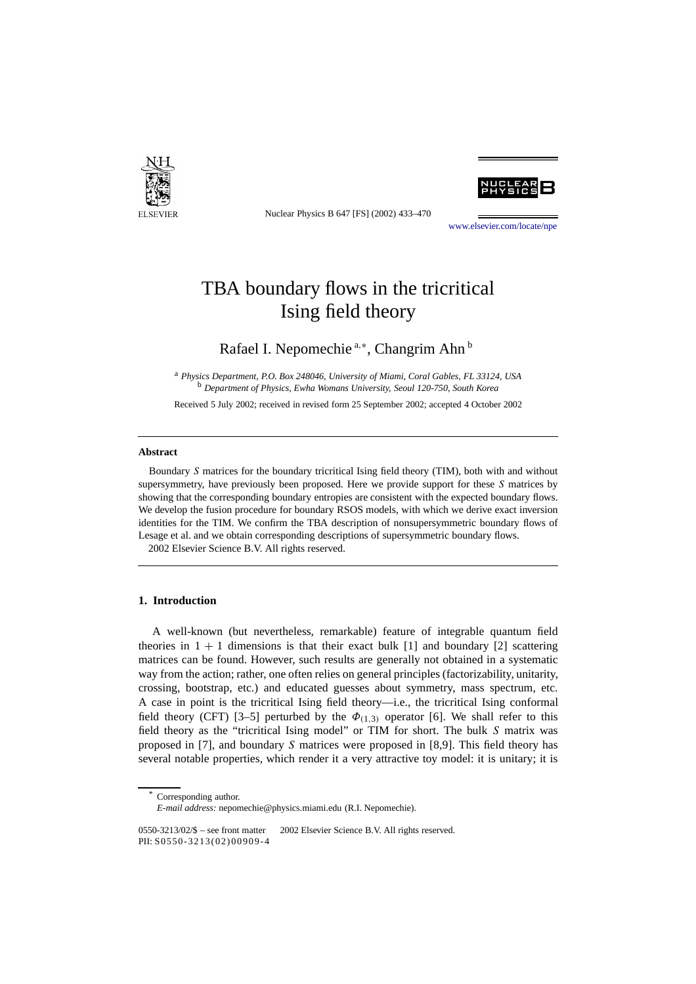

Nuclear Physics B 647 [FS] (2002) 433–470

[www.elsevier.com/locate/npe](http://www.elsevier.com/locate/npe)

# TBA boundary flows in the tricritical Ising field theory

## Rafael I. Nepomechie<sup>a,∗</sup>, Changrim Ahn<sup>b</sup>

<sup>a</sup> *Physics Department, P.O. Box 248046, University of Miami, Coral Gables, FL 33124, USA* <sup>b</sup> *Department of Physics, Ewha Womans University, Seoul 120-750, South Korea*

Received 5 July 2002; received in revised form 25 September 2002; accepted 4 October 2002

#### **Abstract**

Boundary *S* matrices for the boundary tricritical Ising field theory (TIM), both with and without supersymmetry, have previously been proposed. Here we provide support for these *S* matrices by showing that the corresponding boundary entropies are consistent with the expected boundary flows. We develop the fusion procedure for boundary RSOS models, with which we derive exact inversion identities for the TIM. We confirm the TBA description of nonsupersymmetric boundary flows of Lesage et al. and we obtain corresponding descriptions of supersymmetric boundary flows. 2002 Elsevier Science B.V. All rights reserved.

#### **1. Introduction**

A well-known (but nevertheless, remarkable) feature of integrable quantum field theories in  $1 + 1$  dimensions is that their exact bulk [1] and boundary [2] scattering matrices can be found. However, such results are generally not obtained in a systematic way from the action; rather, one often relies on general principles (factorizability, unitarity, crossing, bootstrap, etc.) and educated guesses about symmetry, mass spectrum, etc. A case in point is the tricritical Ising field theory—i.e., the tricritical Ising conformal field theory (CFT) [3–5] perturbed by the  $\Phi_{(1,3)}$  operator [6]. We shall refer to this field theory as the "tricritical Ising model" or TIM for short. The bulk *S* matrix was proposed in [7], and boundary *S* matrices were proposed in [8,9]. This field theory has several notable properties, which render it a very attractive toy model: it is unitary; it is

Corresponding author.

*E-mail address:* nepomechie@physics.miami.edu (R.I. Nepomechie).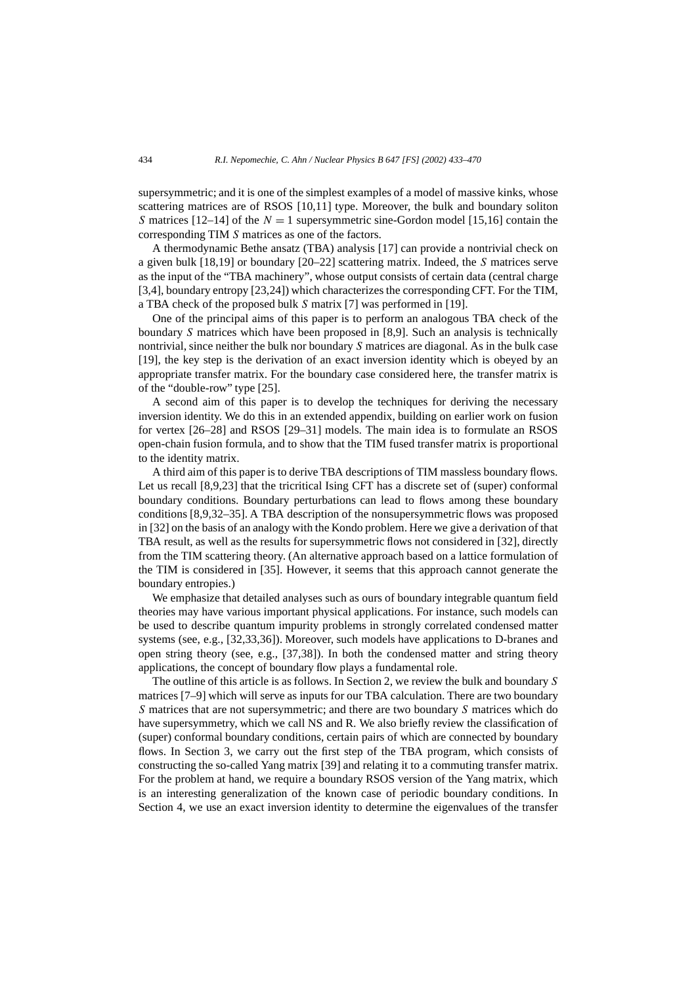supersymmetric; and it is one of the simplest examples of a model of massive kinks, whose scattering matrices are of RSOS [10,11] type. Moreover, the bulk and boundary soliton *S* matrices  $[12-14]$  of the  $N = 1$  supersymmetric sine-Gordon model  $[15,16]$  contain the corresponding TIM *S* matrices as one of the factors.

A thermodynamic Bethe ansatz (TBA) analysis [17] can provide a nontrivial check on a given bulk [18,19] or boundary [20–22] scattering matrix. Indeed, the *S* matrices serve as the input of the "TBA machinery", whose output consists of certain data (central charge [3,4], boundary entropy [23,24]) which characterizes the corresponding CFT. For the TIM, a TBA check of the proposed bulk *S* matrix [7] was performed in [19].

One of the principal aims of this paper is to perform an analogous TBA check of the boundary *S* matrices which have been proposed in [8,9]. Such an analysis is technically nontrivial, since neither the bulk nor boundary *S* matrices are diagonal. As in the bulk case [19], the key step is the derivation of an exact inversion identity which is obeyed by an appropriate transfer matrix. For the boundary case considered here, the transfer matrix is of the "double-row" type [25].

A second aim of this paper is to develop the techniques for deriving the necessary inversion identity. We do this in an extended appendix, building on earlier work on fusion for vertex [26–28] and RSOS [29–31] models. The main idea is to formulate an RSOS open-chain fusion formula, and to show that the TIM fused transfer matrix is proportional to the identity matrix.

A third aim of this paper is to derive TBA descriptions of TIM massless boundary flows. Let us recall [8,9,23] that the tricritical Ising CFT has a discrete set of (super) conformal boundary conditions. Boundary perturbations can lead to flows among these boundary conditions [8,9,32–35]. A TBA description of the nonsupersymmetric flows was proposed in [32] on the basis of an analogy with the Kondo problem. Here we give a derivation of that TBA result, as well as the results for supersymmetric flows not considered in [32], directly from the TIM scattering theory. (An alternative approach based on a lattice formulation of the TIM is considered in [35]. However, it seems that this approach cannot generate the boundary entropies.)

We emphasize that detailed analyses such as ours of boundary integrable quantum field theories may have various important physical applications. For instance, such models can be used to describe quantum impurity problems in strongly correlated condensed matter systems (see, e.g., [32,33,36]). Moreover, such models have applications to D-branes and open string theory (see, e.g., [37,38]). In both the condensed matter and string theory applications, the concept of boundary flow plays a fundamental role.

The outline of this article is as follows. In Section 2, we review the bulk and boundary *S* matrices [7–9] which will serve as inputs for our TBA calculation. There are two boundary *S* matrices that are not supersymmetric; and there are two boundary *S* matrices which do have supersymmetry, which we call NS and R. We also briefly review the classification of (super) conformal boundary conditions, certain pairs of which are connected by boundary flows. In Section 3, we carry out the first step of the TBA program, which consists of constructing the so-called Yang matrix [39] and relating it to a commuting transfer matrix. For the problem at hand, we require a boundary RSOS version of the Yang matrix, which is an interesting generalization of the known case of periodic boundary conditions. In Section 4, we use an exact inversion identity to determine the eigenvalues of the transfer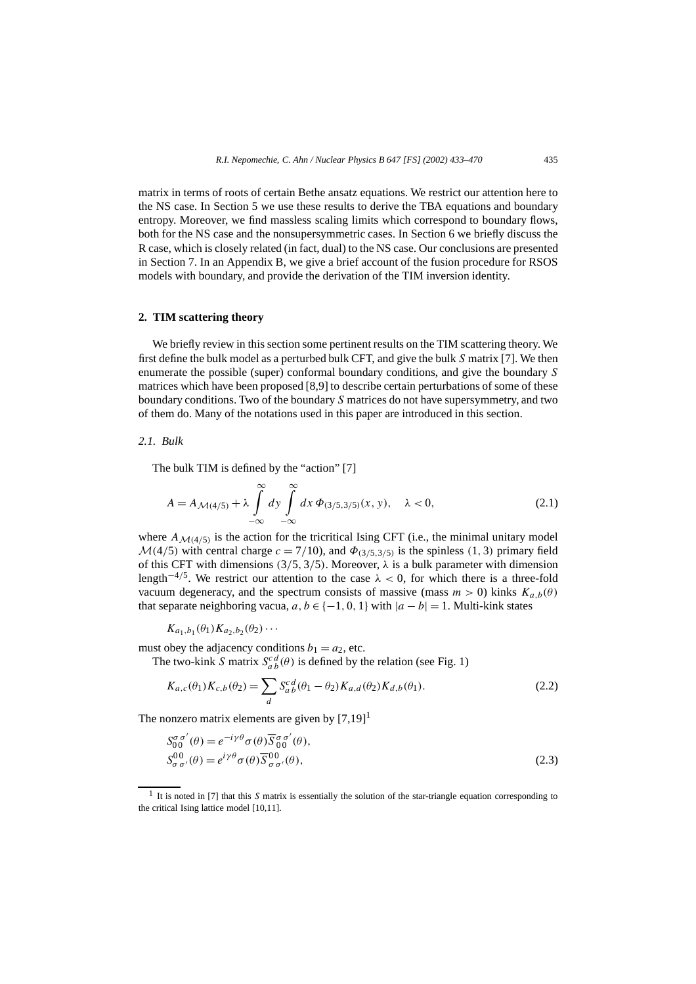matrix in terms of roots of certain Bethe ansatz equations. We restrict our attention here to the NS case. In Section 5 we use these results to derive the TBA equations and boundary entropy. Moreover, we find massless scaling limits which correspond to boundary flows, both for the NS case and the nonsupersymmetric cases. In Section 6 we briefly discuss the R case, which is closely related (in fact, dual) to the NS case. Our conclusions are presented in Section 7. In an Appendix B, we give a brief account of the fusion procedure for RSOS models with boundary, and provide the derivation of the TIM inversion identity.

#### **2. TIM scattering theory**

We briefly review in this section some pertinent results on the TIM scattering theory. We first define the bulk model as a perturbed bulk CFT, and give the bulk *S* matrix [7]. We then enumerate the possible (super) conformal boundary conditions, and give the boundary *S* matrices which have been proposed [8,9] to describe certain perturbations of some of these boundary conditions. Two of the boundary *S* matrices do not have supersymmetry, and two of them do. Many of the notations used in this paper are introduced in this section.

#### *2.1. Bulk*

The bulk TIM is defined by the "action" [7]

$$
A = A_{\mathcal{M}(4/5)} + \lambda \int\limits_{-\infty}^{\infty} dy \int\limits_{-\infty}^{\infty} dx \, \Phi_{(3/5,3/5)}(x, y), \quad \lambda < 0,\tag{2.1}
$$

where  $A_{\mathcal{M}(4/5)}$  is the action for the tricritical Ising CFT (i.e., the minimal unitary model  $M(4/5)$  with central charge  $c = 7/10$ , and  $\Phi_{(3/5,3/5)}$  is the spinless (1, 3) primary field of this CFT with dimensions *(*3*/*5*,* 3*/*5*)*. Moreover, *λ* is a bulk parameter with dimension length−4*/*5. We restrict our attention to the case *λ <* 0, for which there is a three-fold vacuum degeneracy, and the spectrum consists of massive (mass  $m > 0$ ) kinks  $K_{a,b}(\theta)$ that separate neighboring vacua,  $a, b \in \{-1, 0, 1\}$  with  $|a - b| = 1$ . Multi-kink states

$$
K_{a_1,b_1}(\theta_1)K_{a_2,b_2}(\theta_2)\cdots
$$

must obey the adjacency conditions  $b_1 = a_2$ , etc.

The two-kink *S* matrix  $S_{a}^{c}{}_{b}^{d}(\theta)$  is defined by the relation (see Fig. 1)

$$
K_{a,c}(\theta_1)K_{c,b}(\theta_2) = \sum_{d} S_{ab}^{c\,d}(\theta_1 - \theta_2)K_{a,d}(\theta_2)K_{d,b}(\theta_1).
$$
 (2.2)

The nonzero matrix elements are given by  $[7,19]$ <sup>1</sup>

$$
S_{00}^{\sigma\sigma'}(\theta) = e^{-i\gamma\theta}\sigma(\theta)\overline{S}_{00}^{\sigma\sigma'}(\theta),
$$
  
\n
$$
S_{\sigma\sigma'}^{00}(\theta) = e^{i\gamma\theta}\sigma(\theta)\overline{S}_{\sigma\sigma'}^{00}(\theta),
$$
\n(2.3)

<sup>1</sup> It is noted in [7] that this *S* matrix is essentially the solution of the star-triangle equation corresponding to the critical Ising lattice model [10,11].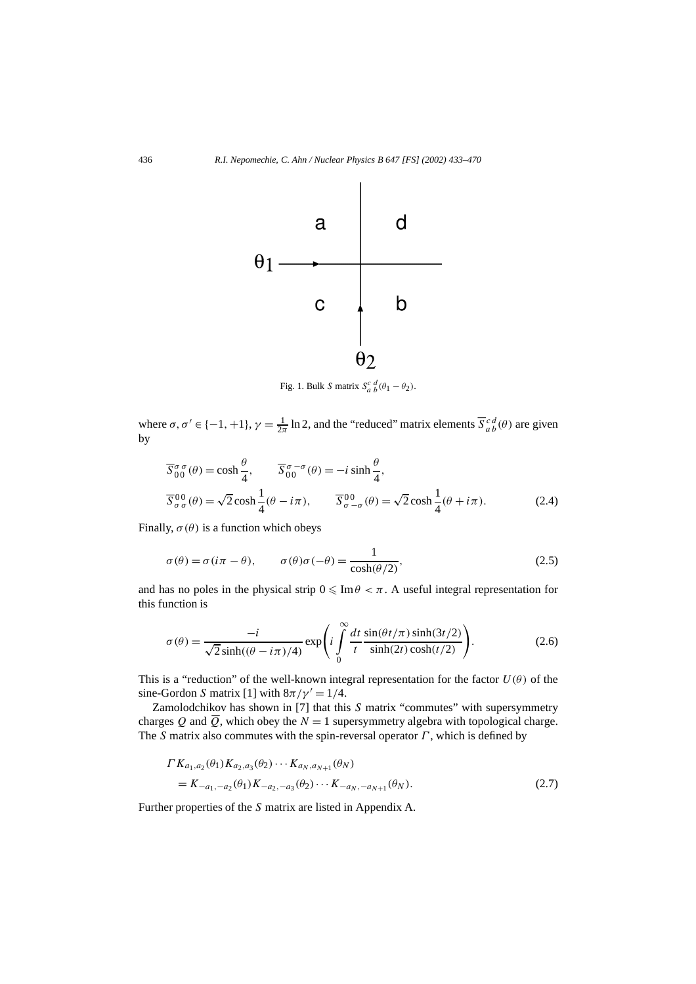

Fig. 1. Bulk *S* matrix  $S_a^c \frac{d}{b}(\theta_1 - \theta_2)$ .

where  $\sigma$ ,  $\sigma' \in \{-1, +1\}$ ,  $\gamma = \frac{1}{2\pi} \ln 2$ , and the "reduced" matrix elements  $\overline{S}_{ab}^{cd}(\theta)$  are given by

$$
\overline{S}_{00}^{\sigma\sigma}(\theta) = \cosh\frac{\theta}{4}, \qquad \overline{S}_{00}^{\sigma-\sigma}(\theta) = -i\sinh\frac{\theta}{4},
$$
  

$$
\overline{S}_{\sigma\sigma}^{00}(\theta) = \sqrt{2}\cosh\frac{1}{4}(\theta - i\pi), \qquad \overline{S}_{\sigma-\sigma}^{00}(\theta) = \sqrt{2}\cosh\frac{1}{4}(\theta + i\pi).
$$
 (2.4)

Finally,  $\sigma(\theta)$  is a function which obeys

$$
\sigma(\theta) = \sigma(i\pi - \theta), \qquad \sigma(\theta)\sigma(-\theta) = \frac{1}{\cosh(\theta/2)},
$$
\n(2.5)

and has no poles in the physical strip  $0 \leq \text{Im} \theta < \pi$ . A useful integral representation for this function is

$$
\sigma(\theta) = \frac{-i}{\sqrt{2}\sinh((\theta - i\pi)/4)} \exp\left(i\int_{0}^{\infty} \frac{dt}{t} \frac{\sin(\theta t/\pi)\sinh(3t/2)}{\sinh(2t)\cosh(t/2)}\right).
$$
 (2.6)

This is a "reduction" of the well-known integral representation for the factor  $U(\theta)$  of the sine-Gordon *S* matrix [1] with  $8\pi/\gamma' = 1/4$ .

Zamolodchikov has shown in [7] that this *S* matrix "commutes" with supersymmetry charges Q and  $\overline{Q}$ , which obey the  $N = 1$  supersymmetry algebra with topological charge. The *S* matrix also commutes with the spin-reversal operator *Γ* , which is defined by

$$
\Gamma K_{a_1, a_2}(\theta_1) K_{a_2, a_3}(\theta_2) \cdots K_{a_N, a_{N+1}}(\theta_N)
$$
  
=  $K_{-a_1, -a_2}(\theta_1) K_{-a_2, -a_3}(\theta_2) \cdots K_{-a_N, -a_{N+1}}(\theta_N).$  (2.7)

Further properties of the *S* matrix are listed in Appendix A.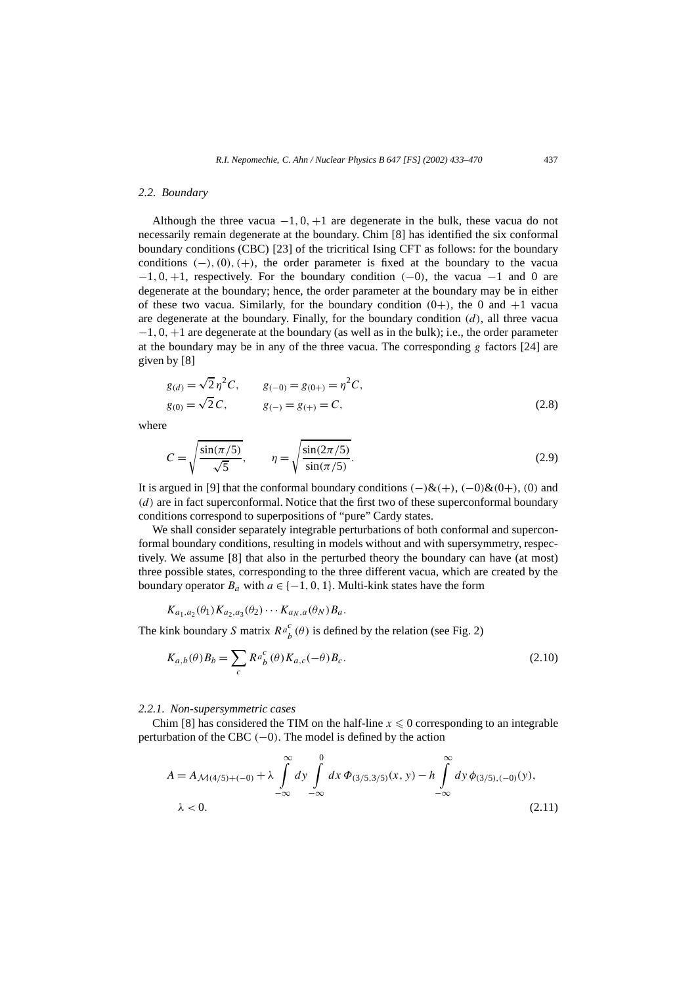#### *2.2. Boundary*

Although the three vacua  $-1, 0, +1$  are degenerate in the bulk, these vacua do not necessarily remain degenerate at the boundary. Chim [8] has identified the six conformal boundary conditions (CBC) [23] of the tricritical Ising CFT as follows: for the boundary conditions  $(-)$ ,  $(0)$ ,  $(+)$ , the order parameter is fixed at the boundary to the vacua −1*,* 0*,*+1, respectively. For the boundary condition *(*−0*)*, the vacua −1 and 0 are degenerate at the boundary; hence, the order parameter at the boundary may be in either of these two vacua. Similarly, for the boundary condition  $(0+)$ , the 0 and  $+1$  vacua are degenerate at the boundary. Finally, for the boundary condition *(d)*, all three vacua −1*,* 0*,*+1 are degenerate at the boundary (as well as in the bulk); i.e., the order parameter at the boundary may be in any of the three vacua. The corresponding *g* factors [24] are given by [8]

$$
g_{(d)} = \sqrt{2} \eta^2 C, \qquad g_{(-0)} = g_{(0+)} = \eta^2 C, g_{(0)} = \sqrt{2} C, \qquad g_{(-)} = g_{(+)} = C,
$$
 (2.8)

where

$$
C = \sqrt{\frac{\sin(\pi/5)}{\sqrt{5}}}, \qquad \eta = \sqrt{\frac{\sin(2\pi/5)}{\sin(\pi/5)}}.
$$
 (2.9)

It is argued in [9] that the conformal boundary conditions  $(-)$ & $(+)$ ,  $(-0)$ & $(0+)$ ,  $(0)$  and *(d)* are in fact superconformal. Notice that the first two of these superconformal boundary conditions correspond to superpositions of "pure" Cardy states.

We shall consider separately integrable perturbations of both conformal and superconformal boundary conditions, resulting in models without and with supersymmetry, respectively. We assume [8] that also in the perturbed theory the boundary can have (at most) three possible states, corresponding to the three different vacua, which are created by the boundary operator  $B_a$  with  $a \in \{-1, 0, 1\}$ . Multi-kink states have the form

$$
K_{a_1,a_2}(\theta_1)K_{a_2,a_3}(\theta_2)\cdots K_{a_N,a}(\theta_N)B_a.
$$

The kink boundary *S* matrix  $Re_b^c(\theta)$  is defined by the relation (see Fig. 2)

$$
K_{a,b}(\theta)B_b = \sum_c R a_b^c(\theta) K_{a,c}(-\theta) B_c.
$$
\n(2.10)

#### *2.2.1. Non-supersymmetric cases*

Chim [8] has considered the TIM on the half-line  $x \leq 0$  corresponding to an integrable perturbation of the CBC *(*−0*)*. The model is defined by the action

$$
A = A_{\mathcal{M}(4/5) + (-0)} + \lambda \int_{-\infty}^{\infty} dy \int_{-\infty}^{0} dx \, \Phi_{(3/5,3/5)}(x, y) - h \int_{-\infty}^{\infty} dy \, \phi_{(3/5), (-0)}(y),
$$
  
  $\lambda < 0.$  (2.11)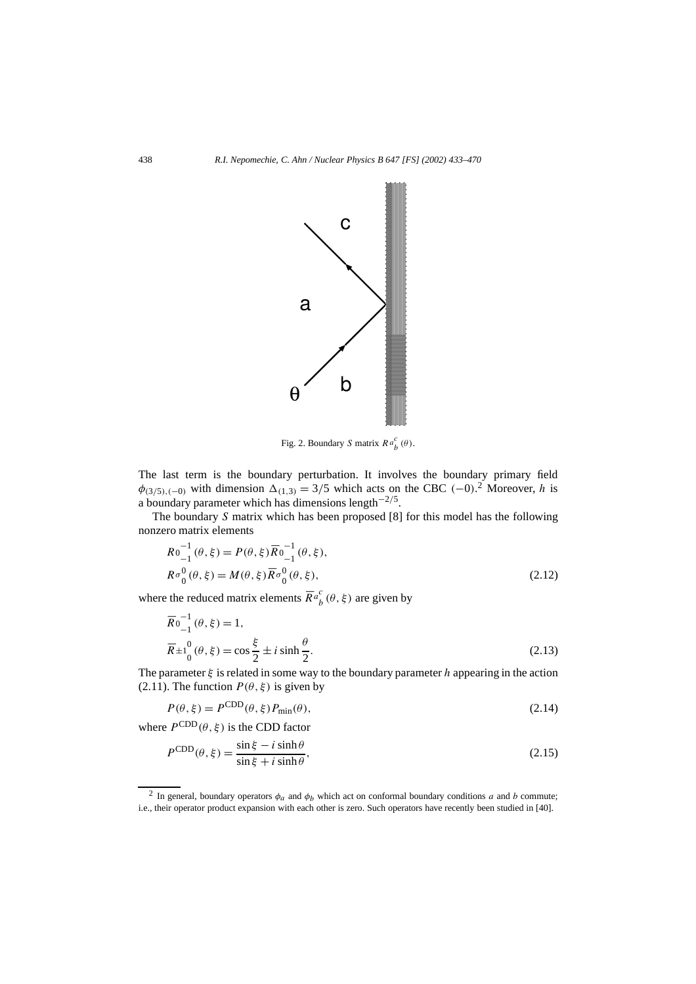

Fig. 2. Boundary *S* matrix  $R a_b^c(\theta)$ .

The last term is the boundary perturbation. It involves the boundary primary field  $\phi_{(3/5),(-0)}$  with dimension  $\Delta_{(1,3)} = 3/5$  which acts on the CBC  $(-0)^2$ . Moreover, *h* is a boundary parameter which has dimensions length−2*/*5.

The boundary *S* matrix which has been proposed [8] for this model has the following nonzero matrix elements

$$
Ro_{-1}^{-1}(\theta, \xi) = P(\theta, \xi) \overline{R}o_{-1}^{-1}(\theta, \xi),
$$
  
\n
$$
Ro_0^0(\theta, \xi) = M(\theta, \xi) \overline{R}o_0^0(\theta, \xi),
$$
\n(2.12)

where the reduced matrix elements  $\overline{R}a_b^c$  ( $\theta$ ,  $\xi$ ) are given by

$$
\overline{R}_{-1}^{0-1}(\theta, \xi) = 1,\n\overline{R}_{\pm 1}^{0}(\theta, \xi) = \cos \frac{\xi}{2} \pm i \sinh \frac{\theta}{2}.
$$
\n(2.13)

The parameter  $\xi$  is related in some way to the boundary parameter *h* appearing in the action (2.11). The function  $P(\theta, \xi)$  is given by

$$
P(\theta, \xi) = P^{\text{CDD}}(\theta, \xi) P_{\min}(\theta), \tag{2.14}
$$

where  $P^{\text{CDD}}(\theta, \xi)$  is the CDD factor

$$
P^{\text{CDD}}(\theta,\xi) = \frac{\sin\xi - i\sinh\theta}{\sin\xi + i\sinh\theta},\tag{2.15}
$$

<sup>&</sup>lt;sup>2</sup> In general, boundary operators  $\phi_a$  and  $\phi_b$  which act on conformal boundary conditions *a* and *b* commute; i.e., their operator product expansion with each other is zero. Such operators have recently been studied in [40].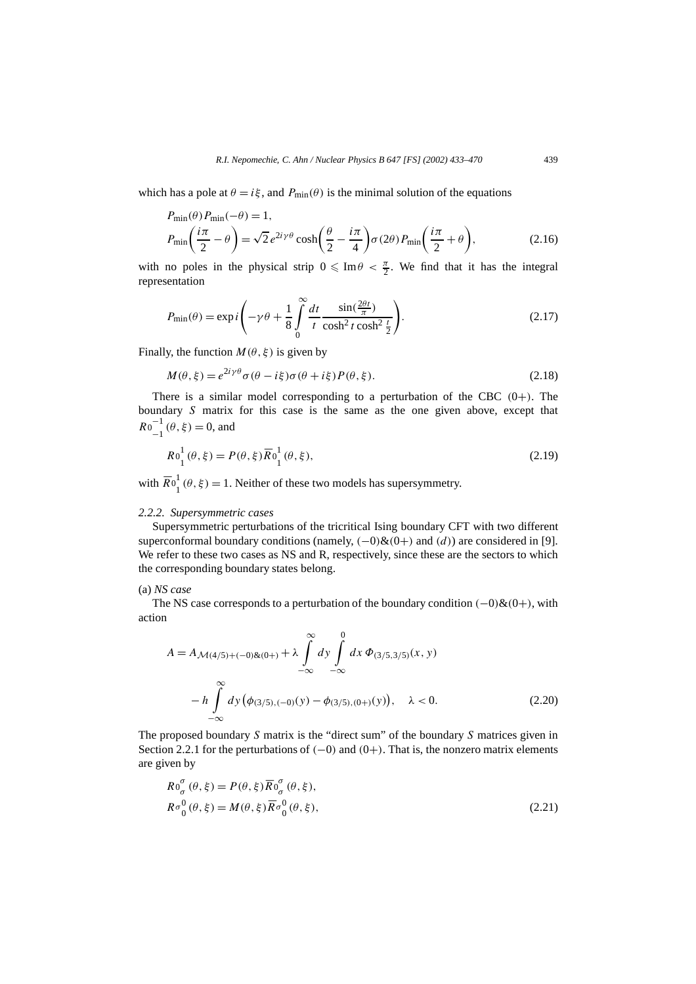which has a pole at  $\theta = i\xi$ , and  $P_{\text{min}}(\theta)$  is the minimal solution of the equations

$$
P_{\min}(\theta) P_{\min}(-\theta) = 1,
$$
  
\n
$$
P_{\min}\left(\frac{i\pi}{2} - \theta\right) = \sqrt{2} e^{2i\gamma\theta} \cosh\left(\frac{\theta}{2} - \frac{i\pi}{4}\right) \sigma(2\theta) P_{\min}\left(\frac{i\pi}{2} + \theta\right),
$$
\n(2.16)

with no poles in the physical strip  $0 \n\leq \text{Im}\theta < \frac{\pi}{2}$ . We find that it has the integral representation

$$
P_{\min}(\theta) = \exp i \left( -\gamma \theta + \frac{1}{8} \int_{0}^{\infty} \frac{dt}{t} \frac{\sin(\frac{2\theta t}{\pi})}{\cosh^2 t \cosh^2 \frac{t}{2}} \right).
$$
 (2.17)

Finally, the function  $M(\theta, \xi)$  is given by

$$
M(\theta, \xi) = e^{2i\gamma\theta} \sigma(\theta - i\xi) \sigma(\theta + i\xi) P(\theta, \xi).
$$
 (2.18)

There is a similar model corresponding to a perturbation of the CBC *(*0+*)*. The boundary *S* matrix for this case is the same as the one given above, except that  $R0_{-1}^{-1}(\theta, \xi) = 0$ , and

$$
R_0^1(\theta,\xi) = P(\theta,\xi)\overline{R}_0^1(\theta,\xi),\tag{2.19}
$$

with  $\overline{R}0^1_1(\theta, \xi) = 1$ . Neither of these two models has supersymmetry.

#### *2.2.2. Supersymmetric cases*

Supersymmetric perturbations of the tricritical Ising boundary CFT with two different superconformal boundary conditions (namely,  $(-0)$ & $(0+)$  and  $(d)$ ) are considered in [9]. We refer to these two cases as NS and R, respectively, since these are the sectors to which the corresponding boundary states belong.

#### (a) *NS case*

The NS case corresponds to a perturbation of the boundary condition *(*−0*)*&*(*0+*)*, with action

$$
A = A_{\mathcal{M}(4/5) + (-0)\&(0+)} + \lambda \int_{-\infty}^{\infty} dy \int_{-\infty}^{0} dx \, \Phi_{(3/5,3/5)}(x, y)
$$

$$
-h \int_{-\infty}^{\infty} dy \, (\phi_{(3/5), (-0)}(y) - \phi_{(3/5), (0+)}(y)), \quad \lambda < 0.
$$
 (2.20)

The proposed boundary *S* matrix is the "direct sum" of the boundary *S* matrices given in Section 2.2.1 for the perturbations of *(*−0*)* and *(*0+*)*. That is, the nonzero matrix elements are given by

$$
Ro^{\sigma}_{\sigma}(\theta,\xi) = P(\theta,\xi)\overline{R}o^{\sigma}_{\sigma}(\theta,\xi),
$$
  
\n
$$
Ro^0_0(\theta,\xi) = M(\theta,\xi)\overline{R}o^0_0(\theta,\xi),
$$
\n(2.21)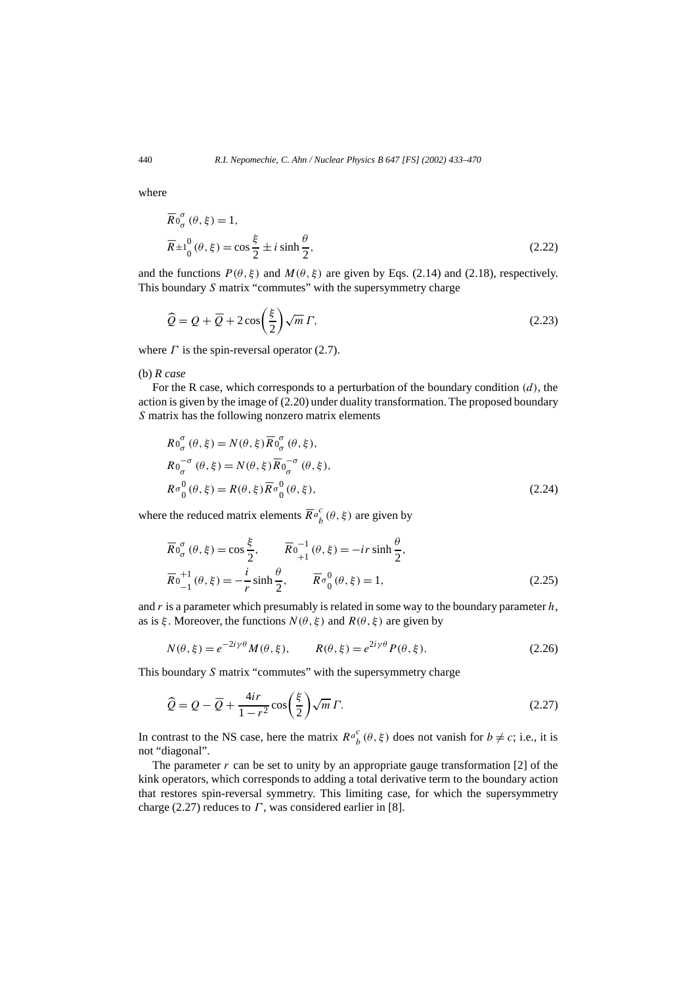where

$$
\overline{R}_{\sigma}^{\sigma}(\theta, \xi) = 1,
$$
  
\n
$$
\overline{R}_{\pm 1}^0(\theta, \xi) = \cos \frac{\xi}{2} \pm i \sinh \frac{\theta}{2},
$$
\n(2.22)

and the functions  $P(\theta, \xi)$  and  $M(\theta, \xi)$  are given by Eqs. (2.14) and (2.18), respectively. This boundary *S* matrix "commutes" with the supersymmetry charge

$$
\widehat{Q} = Q + \overline{Q} + 2\cos\left(\frac{\xi}{2}\right)\sqrt{m}\,\Gamma,\tag{2.23}
$$

where  $\Gamma$  is the spin-reversal operator (2.7).

(b) *R case*

For the R case, which corresponds to a perturbation of the boundary condition *(d)*, the action is given by the image of (2.20) under duality transformation. The proposed boundary *S* matrix has the following nonzero matrix elements

$$
R0_{\sigma}^{\sigma}(\theta, \xi) = N(\theta, \xi) \overline{R}0_{\sigma}^{\sigma}(\theta, \xi),
$$
  
\n
$$
R0_{\sigma}^{-\sigma}(\theta, \xi) = N(\theta, \xi) \overline{R}0_{\sigma}^{-\sigma}(\theta, \xi),
$$
  
\n
$$
R\sigma_0^0(\theta, \xi) = R(\theta, \xi) \overline{R}\sigma_0^0(\theta, \xi),
$$
  
\n(2.24)

where the reduced matrix elements  $\overline{R}a_b^c$  ( $\theta$ ,  $\xi$ ) are given by

$$
\overline{R}_{0}^{\sigma}(\theta, \xi) = \cos \frac{\xi}{2}, \qquad \overline{R}_{0+1}^{-1}(\theta, \xi) = -ir \sinh \frac{\theta}{2}, \n\overline{R}_{0+1}^{-1}(\theta, \xi) = -\frac{i}{r} \sinh \frac{\theta}{2}, \qquad \overline{R}_{0}^{-1}(\theta, \xi) = 1,
$$
\n(2.25)

and *r* is a parameter which presumably is related in some way to the boundary parameter *h*, as is  $\xi$ . Moreover, the functions  $N(\theta, \xi)$  and  $R(\theta, \xi)$  are given by

$$
N(\theta, \xi) = e^{-2i\gamma\theta} M(\theta, \xi), \qquad R(\theta, \xi) = e^{2i\gamma\theta} P(\theta, \xi). \tag{2.26}
$$

This boundary *S* matrix "commutes" with the supersymmetry charge

$$
\widehat{Q} = Q - \overline{Q} + \frac{4ir}{1 - r^2} \cos\left(\frac{\xi}{2}\right) \sqrt{m} \Gamma.
$$
\n(2.27)

In contrast to the NS case, here the matrix  $Ra_b^c(\theta, \xi)$  does not vanish for  $b \neq c$ ; i.e., it is not "diagonal".

The parameter  $r$  can be set to unity by an appropriate gauge transformation [2] of the kink operators, which corresponds to adding a total derivative term to the boundary action that restores spin-reversal symmetry. This limiting case, for which the supersymmetry charge (2.27) reduces to *Γ* , was considered earlier in [8].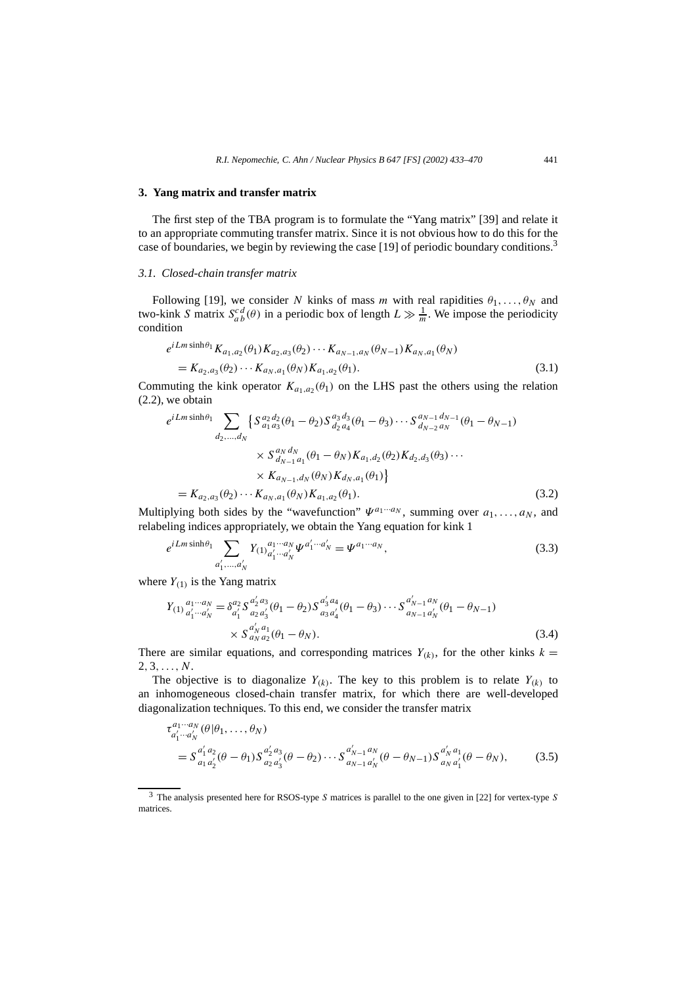#### **3. Yang matrix and transfer matrix**

The first step of the TBA program is to formulate the "Yang matrix" [39] and relate it to an appropriate commuting transfer matrix. Since it is not obvious how to do this for the case of boundaries, we begin by reviewing the case [19] of periodic boundary conditions.<sup>3</sup>

#### *3.1. Closed-chain transfer matrix*

Following [19], we consider *N* kinks of mass *m* with real rapidities  $\theta_1, \ldots, \theta_N$  and two-kink *S* matrix  $S_{ab}^{cd}(\theta)$  in a periodic box of length  $L \gg \frac{1}{m}$ . We impose the periodicity condition

$$
e^{iLm\sinh\theta_1} K_{a_1, a_2}(\theta_1) K_{a_2, a_3}(\theta_2) \cdots K_{a_{N-1}, a_N}(\theta_{N-1}) K_{a_N, a_1}(\theta_N)
$$
  
=  $K_{a_2, a_3}(\theta_2) \cdots K_{a_N, a_1}(\theta_N) K_{a_1, a_2}(\theta_1).$  (3.1)

Commuting the kink operator  $K_{a_1,a_2}(\theta_1)$  on the LHS past the others using the relation (2.2), we obtain

$$
e^{iLm\sinh\theta_1} \sum_{d_2,\dots,d_N} \left\{ S_{a_1 a_3}^{a_2 d_2}(\theta_1 - \theta_2) S_{d_2 a_4}^{a_3 d_3}(\theta_1 - \theta_3) \cdots S_{d_{N-2} a_N}^{a_{N-1} d_{N-1}}(\theta_1 - \theta_{N-1}) \right\}
$$

$$
\times S_{d_{N-1} a_1}^{a_N d_N}(\theta_1 - \theta_N) K_{a_1, d_2}(\theta_2) K_{d_2, d_3}(\theta_3) \cdots
$$

$$
\times K_{a_{N-1}, d_N}(\theta_N) K_{d_N, a_1}(\theta_1) \right\}
$$

$$
= K_{a_2, a_3}(\theta_2) \cdots K_{a_N, a_1}(\theta_N) K_{a_1, a_2}(\theta_1).
$$
(3.2)

Multiplying both sides by the "wavefunction"  $\Psi^{a_1 \cdots a_N}$ , summing over  $a_1, \ldots, a_N$ , and relabeling indices appropriately, we obtain the Yang equation for kink 1

$$
e^{iLm\sinh\theta_1} \sum_{a'_1,\dots,a'_N} Y_{(1)}{}^{a_1\cdots a_N}_{a'_1\cdots a'_N} \Psi^{a'_1\cdots a'_N} = \Psi^{a_1\cdots a_N},\tag{3.3}
$$

where  $Y_{(1)}$  is the Yang matrix

$$
Y_{(1)}{}^{a_1 \cdots a_N}_{a'_1 \cdots a'_N} = \delta^{a_2}_{a'_1} S^{a'_2 a_3}_{a_2 a'_3} (\theta_1 - \theta_2) S^{a'_3 a_4}_{a_3 a'_4} (\theta_1 - \theta_3) \cdots S^{a'_{N-1} a'_N}_{a_{N-1} a'_N} (\theta_1 - \theta_{N-1})
$$
  
\$\times S^{a'\_N a\_1}\_{a\_N a\_2} (\theta\_1 - \theta\_N). \qquad (3.4)

There are similar equations, and corresponding matrices  $Y_{(k)}$ , for the other kinks  $k =$ 2*,* 3*,...,N*.

The objective is to diagonalize  $Y_{(k)}$ . The key to this problem is to relate  $Y_{(k)}$  to an inhomogeneous closed-chain transfer matrix, for which there are well-developed diagonalization techniques. To this end, we consider the transfer matrix

$$
\tau_{a'_1 \cdots a'_N}^{a_1 \cdots a_N}(\theta | \theta_1, \ldots, \theta_N)
$$
\n
$$
= S_{a_1 a'_2}^{a'_1 a_2}(\theta - \theta_1) S_{a_2 a'_3}^{a'_2 a_3}(\theta - \theta_2) \cdots S_{a_{N-1} a'_N}^{a'_{N-1} a_N}(\theta - \theta_{N-1}) S_{a_N a'_1}^{a'_N a_1}(\theta - \theta_N),
$$
\n(3.5)

<sup>3</sup> The analysis presented here for RSOS-type *S* matrices is parallel to the one given in [22] for vertex-type *S* matrices.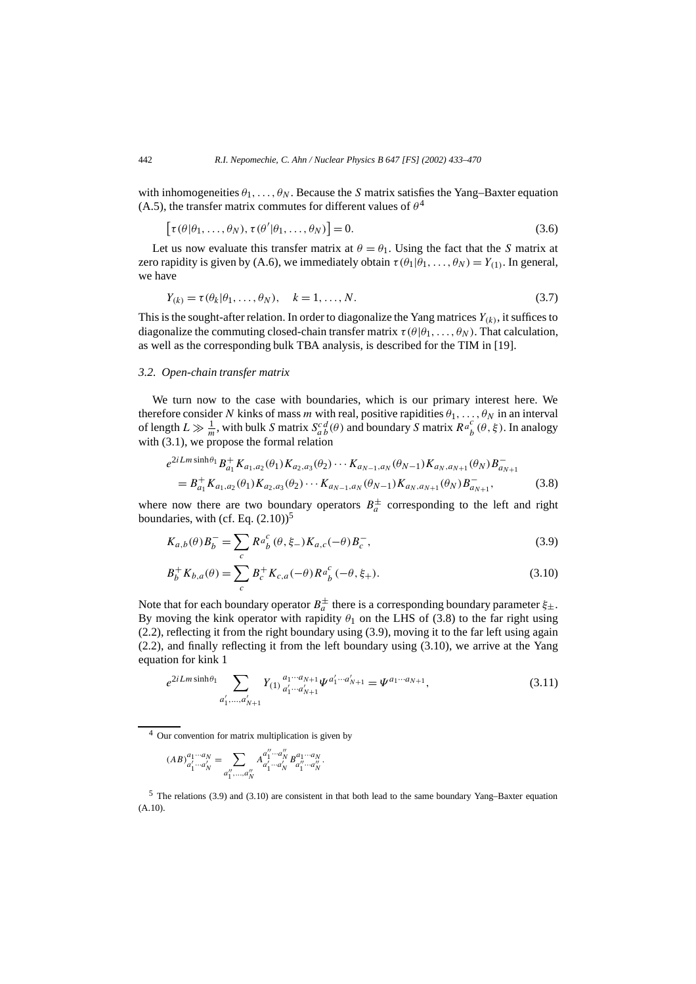with inhomogeneities  $\theta_1, \ldots, \theta_N$ . Because the *S* matrix satisfies the Yang–Baxter equation (A.5), the transfer matrix commutes for different values of  $\theta^4$ 

$$
[\tau(\theta|\theta_1,\ldots,\theta_N),\tau(\theta'|\theta_1,\ldots,\theta_N)]=0.
$$
\n(3.6)

Let us now evaluate this transfer matrix at  $\theta = \theta_1$ . Using the fact that the *S* matrix at zero rapidity is given by (A.6), we immediately obtain  $\tau(\theta_1|\theta_1,\ldots,\theta_N)=Y_{(1)}$ . In general, we have

$$
Y_{(k)} = \tau(\theta_k | \theta_1, \dots, \theta_N), \quad k = 1, \dots, N. \tag{3.7}
$$

This is the sought-after relation. In order to diagonalize the Yang matrices  $Y_{(k)}$ , it suffices to diagonalize the commuting closed-chain transfer matrix  $\tau(\theta|\theta_1,\ldots,\theta_N)$ . That calculation, as well as the corresponding bulk TBA analysis, is described for the TIM in [19].

#### *3.2. Open-chain transfer matrix*

We turn now to the case with boundaries, which is our primary interest here. We therefore consider *N* kinks of mass *m* with real, positive rapidities  $\theta_1, \ldots, \theta_N$  in an interval of length  $L \gg \frac{1}{m}$ , with bulk *S* matrix  $S_{ab}^{cd}(\theta)$  and boundary *S* matrix  $R_{b}^{a}(\theta, \xi)$ . In analogy with  $(3.1)$ , we propose the formal relation

$$
e^{2i Lm \sinh \theta_1} B_{a_1}^+ K_{a_1, a_2}(\theta_1) K_{a_2, a_3}(\theta_2) \cdots K_{a_{N-1}, a_N}(\theta_{N-1}) K_{a_N, a_{N+1}}(\theta_N) B_{a_{N+1}}^-
$$
  
=  $B_{a_1}^+ K_{a_1, a_2}(\theta_1) K_{a_2, a_3}(\theta_2) \cdots K_{a_{N-1}, a_N}(\theta_{N-1}) K_{a_N, a_{N+1}}(\theta_N) B_{a_{N+1}}^-$ , (3.8)

where now there are two boundary operators  $B_a^{\pm}$  corresponding to the left and right boundaries, with (cf. Eq.  $(2.10)$ )<sup>5</sup>

$$
K_{a,b}(\theta)B_{b}^{-} = \sum_{c} R a_{b}^{c} (\theta, \xi_{-}) K_{a,c}(-\theta) B_{c}^{-},
$$
\n(3.9)

$$
B_b^+ K_{b,a}(\theta) = \sum_c B_c^+ K_{c,a}(-\theta) R a_b^c (-\theta, \xi_+).
$$
 (3.10)

Note that for each boundary operator  $B_a^{\pm}$  there is a corresponding boundary parameter  $\xi_{\pm}$ . By moving the kink operator with rapidity  $\theta_1$  on the LHS of (3.8) to the far right using (2.2), reflecting it from the right boundary using (3.9), moving it to the far left using again (2.2), and finally reflecting it from the left boundary using (3.10), we arrive at the Yang equation for kink 1

$$
e^{2iLm\sinh\theta_1} \sum_{a'_1,\dots,a'_{N+1}} Y_{(1)} a_1^{\alpha_1\cdots\alpha_{N+1}} \Psi^{a'_1\cdots a'_{N+1}} = \Psi^{a_1\cdots a_{N+1}},
$$
\n(3.11)

<sup>4</sup> Our convention for matrix multiplication is given by

$$
(AB)^{a_1...a_N}_{a'_1...a'_N}=\sum_{a''_1,...,a''_N}A^{a''_1...a''_N}_{a'_1...a'_N}B^{a_1...a_N}_{a''_1...a''_N}.
$$

<sup>5</sup> The relations (3.9) and (3.10) are consistent in that both lead to the same boundary Yang–Baxter equation (A.10).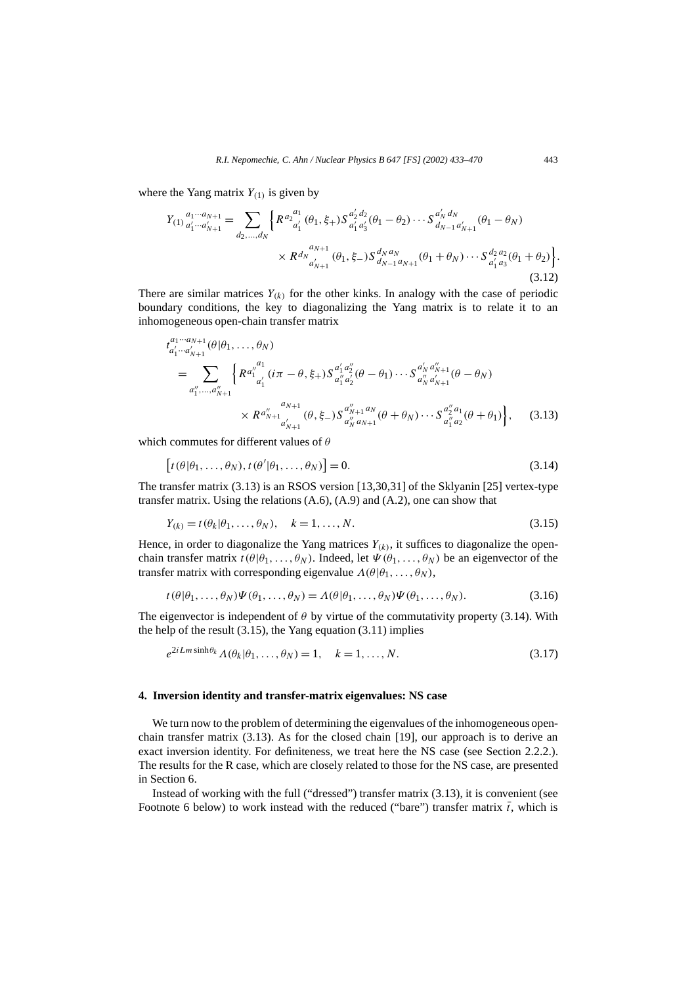where the Yang matrix  $Y_{(1)}$  is given by

$$
Y_{(1)} \, a'_{1} \cdots a'_{N+1} = \sum_{d_2, \ldots, d_N} \left\{ R^{a_2} a'_1 \, (\theta_1, \xi_+) S^{a'_2 \, d_2}_{a'_1 \, a'_3} (\theta_1 - \theta_2) \cdots S^{a'_N \, d_N}_{d_{N-1} \, a'_{N+1}} (\theta_1 - \theta_N) \right. \\
 \times R^{d_N} a'_{N+1} \, (\theta_1, \xi_-) S^{d_N \, a_N}_{d_{N-1} \, a_{N+1}} (\theta_1 + \theta_N) \cdots S^{d_2 \, a_2}_{a'_1 \, a_3} (\theta_1 + \theta_2) \right\}.
$$
\n(3.12)

There are similar matrices  $Y_{(k)}$  for the other kinks. In analogy with the case of periodic boundary conditions, the key to diagonalizing the Yang matrix is to relate it to an inhomogeneous open-chain transfer matrix

$$
t_{a'_1 \cdots a'_{N+1}}^{a_1 \cdots a_{N+1}}(\theta | \theta_1, \ldots, \theta_N)
$$
\n
$$
= \sum_{a''_1, \ldots, a''_{N+1}} \left\{ R^{a''_1 a'_1}_{a'_1} (i\pi - \theta, \xi_+) S^{a'_1 a''_2}_{a''_1 a'_2} (\theta - \theta_1) \cdots S^{a'_N a''_{N+1}}_{a'_N a'_{N+1}} (\theta - \theta_N)
$$
\n
$$
\times R^{a''_{N+1}}_{a'_{N+1}} (\theta, \xi_-) S^{a''_{N+1} a_N}_{a''_N a_{N+1}} (\theta + \theta_N) \cdots S^{a''_2 a_1}_{a''_1 a_2} (\theta + \theta_1) \right\}, \quad (3.13)
$$

which commutes for different values of *θ*

$$
[t(\theta|\theta_1,\ldots,\theta_N),t(\theta'|\theta_1,\ldots,\theta_N)]=0.
$$
\n(3.14)

The transfer matrix (3.13) is an RSOS version [13,30,31] of the Sklyanin [25] vertex-type transfer matrix. Using the relations (A.6), (A.9) and (A.2), one can show that

$$
Y_{(k)} = t(\theta_k | \theta_1, \dots, \theta_N), \quad k = 1, \dots, N. \tag{3.15}
$$

Hence, in order to diagonalize the Yang matrices  $Y_{(k)}$ , it suffices to diagonalize the openchain transfer matrix  $t(\theta | \theta_1, \ldots, \theta_N)$ . Indeed, let  $\Psi(\theta_1, \ldots, \theta_N)$  be an eigenvector of the transfer matrix with corresponding eigenvalue  $\Lambda(\theta|\theta_1,\ldots,\theta_N)$ ,

$$
t(\theta|\theta_1,\ldots,\theta_N)\Psi(\theta_1,\ldots,\theta_N)=\Lambda(\theta|\theta_1,\ldots,\theta_N)\Psi(\theta_1,\ldots,\theta_N).
$$
 (3.16)

The eigenvector is independent of  $\theta$  by virtue of the commutativity property (3.14). With the help of the result  $(3.15)$ , the Yang equation  $(3.11)$  implies

$$
e^{2iLm\sinh\theta_k} \Lambda(\theta_k|\theta_1,\ldots,\theta_N) = 1, \quad k = 1,\ldots,N. \tag{3.17}
$$

#### **4. Inversion identity and transfer-matrix eigenvalues: NS case**

We turn now to the problem of determining the eigenvalues of the inhomogeneous openchain transfer matrix (3.13). As for the closed chain [19], our approach is to derive an exact inversion identity. For definiteness, we treat here the NS case (see Section 2.2.2.). The results for the R case, which are closely related to those for the NS case, are presented in Section 6.

Instead of working with the full ("dressed") transfer matrix (3.13), it is convenient (see Footnote 6 below) to work instead with the reduced ("bare") transfer matrix  $\bar{t}$ , which is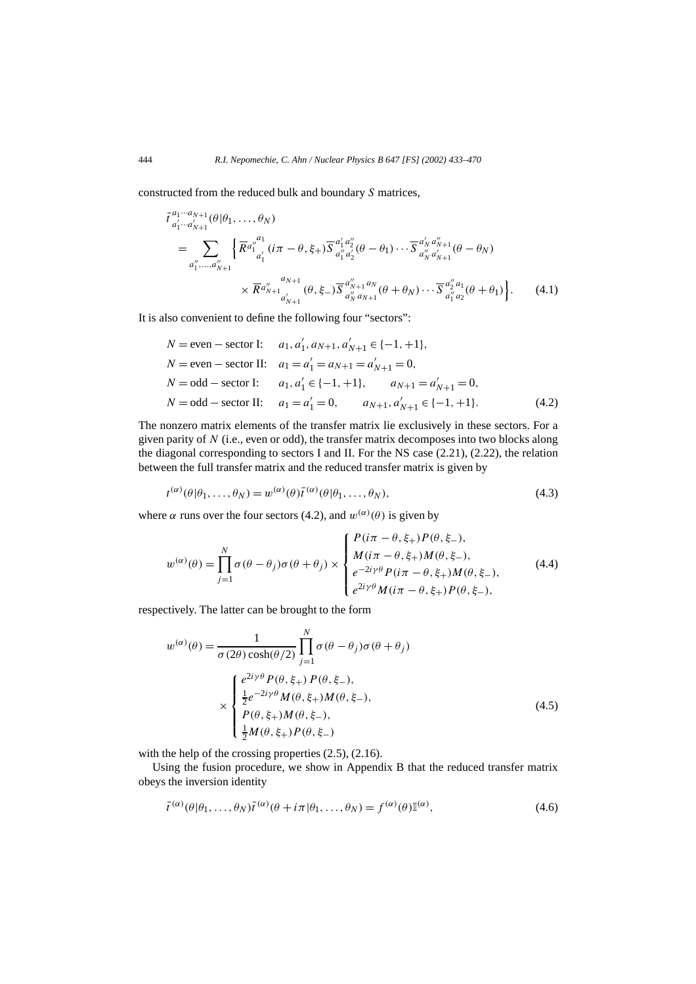constructed from the reduced bulk and boundary *S* matrices,

$$
\bar{t}_{a'_1 \cdots a'_{N+1}}^{a_1 \cdots a_{N+1}}(\theta | \theta_1, \ldots, \theta_N)
$$
\n
$$
= \sum_{a''_1, \ldots, a''_{N+1}} \left\{ \overline{R}^{a''_1}_{a'_1} (i\pi - \theta, \xi_+) \overline{S}^{a'_1 a''_2}_{a''_1 a'_2} (\theta - \theta_1) \cdots \overline{S}^{a'_N a''_{N+1}}_{a''_N a'_{N+1}} (\theta - \theta_N)
$$
\n
$$
\times \overline{R}^{a''_{N+1}}_{a'_{N+1}} (\theta, \xi_-) \overline{S}^{a''_{N+1} a_N}_{a'_N a_{N+1}} (\theta + \theta_N) \cdots \overline{S}^{a''_2 a_1}_{a''_1 a_2} (\theta + \theta_1) \right\}.
$$
\n(4.1)

It is also convenient to define the following four "sectors":

$$
N = \text{even} - \text{sector I:} \quad a_1, a'_1, a_{N+1}, a'_{N+1} \in \{-1, +1\},
$$
\n
$$
N = \text{even} - \text{sector II:} \quad a_1 = a'_1 = a_{N+1} = a'_{N+1} = 0,
$$
\n
$$
N = \text{odd} - \text{sector I:} \quad a_1, a'_1 \in \{-1, +1\}, \quad a_{N+1} = a'_{N+1} = 0,
$$
\n
$$
N = \text{odd} - \text{sector II:} \quad a_1 = a'_1 = 0, \quad a_{N+1}, a'_{N+1} \in \{-1, +1\}.
$$
\n(4.2)

The nonzero matrix elements of the transfer matrix lie exclusively in these sectors. For a given parity of *N* (i.e., even or odd), the transfer matrix decomposes into two blocks along the diagonal corresponding to sectors I and II. For the NS case (2.21), (2.22), the relation between the full transfer matrix and the reduced transfer matrix is given by

$$
t^{(\alpha)}(\theta|\theta_1,\ldots,\theta_N) = w^{(\alpha)}(\theta)\overline{t}^{(\alpha)}(\theta|\theta_1,\ldots,\theta_N),
$$
\n(4.3)

where  $\alpha$  runs over the four sectors (4.2), and  $w^{(\alpha)}(\theta)$  is given by

$$
w^{(\alpha)}(\theta) = \prod_{j=1}^{N} \sigma(\theta - \theta_j) \sigma(\theta + \theta_j) \times \begin{cases} P(i\pi - \theta, \xi_+) P(\theta, \xi_-), \\ M(i\pi - \theta, \xi_+) M(\theta, \xi_-), \\ e^{-2i\gamma\theta} P(i\pi - \theta, \xi_+) M(\theta, \xi_-), \\ e^{2i\gamma\theta} M(i\pi - \theta, \xi_+) P(\theta, \xi_-), \end{cases}
$$
(4.4)

respectively. The latter can be brought to the form

$$
w^{(\alpha)}(\theta) = \frac{1}{\sigma(2\theta)\cosh(\theta/2)} \prod_{j=1}^{N} \sigma(\theta - \theta_j)\sigma(\theta + \theta_j)
$$
  

$$
\times \begin{cases} e^{2i\gamma\theta}P(\theta, \xi_+) P(\theta, \xi_-), \\ \frac{1}{2}e^{-2i\gamma\theta}M(\theta, \xi_+)M(\theta, \xi_-), \\ P(\theta, \xi_+)M(\theta, \xi_-), \\ \frac{1}{2}M(\theta, \xi_+)P(\theta, \xi_-) \end{cases}
$$
(4.5)

with the help of the crossing properties  $(2.5)$ ,  $(2.16)$ .

Using the fusion procedure, we show in Appendix B that the reduced transfer matrix obeys the inversion identity

$$
\bar{t}^{(\alpha)}(\theta|\theta_1,\ldots,\theta_N)\bar{t}^{(\alpha)}(\theta+i\pi|\theta_1,\ldots,\theta_N)=f^{(\alpha)}(\theta)\mathbb{I}^{(\alpha)},\tag{4.6}
$$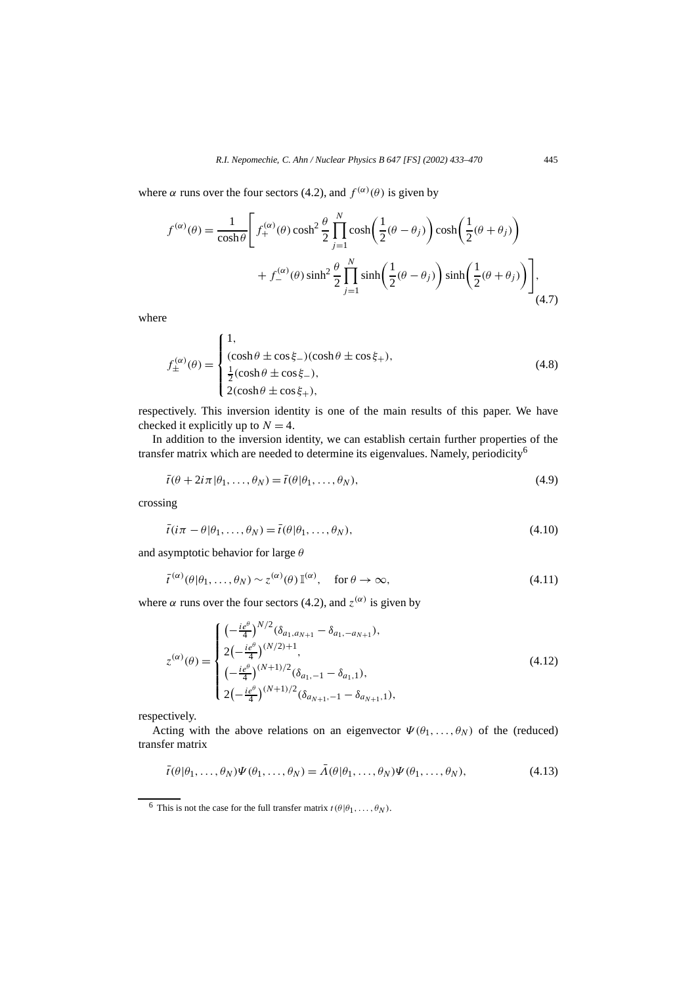where  $\alpha$  runs over the four sectors (4.2), and  $f^{(\alpha)}(\theta)$  is given by

$$
f^{(\alpha)}(\theta) = \frac{1}{\cosh \theta} \left[ f^{(\alpha)}_+(\theta) \cosh^2 \frac{\theta}{2} \prod_{j=1}^N \cosh \left( \frac{1}{2} (\theta - \theta_j) \right) \cosh \left( \frac{1}{2} (\theta + \theta_j) \right) + f^{(\alpha)}_-(\theta) \sinh^2 \frac{\theta}{2} \prod_{j=1}^N \sinh \left( \frac{1}{2} (\theta - \theta_j) \right) \sinh \left( \frac{1}{2} (\theta + \theta_j) \right) \right],
$$
\n(4.7)

where

$$
f_{\pm}^{(\alpha)}(\theta) = \begin{cases} 1, \\ (\cosh \theta \pm \cos \xi_{-})(\cosh \theta \pm \cos \xi_{+}), \\ \frac{1}{2}(\cosh \theta \pm \cos \xi_{-}), \\ 2(\cosh \theta \pm \cos \xi_{+}), \end{cases}
$$
(4.8)

respectively. This inversion identity is one of the main results of this paper. We have checked it explicitly up to  $N = 4$ .

In addition to the inversion identity, we can establish certain further properties of the transfer matrix which are needed to determine its eigenvalues. Namely, periodicity<sup>6</sup>

$$
\bar{t}(\theta + 2i\pi | \theta_1, \dots, \theta_N) = \bar{t}(\theta | \theta_1, \dots, \theta_N),
$$
\n(4.9)

crossing

$$
\bar{t}(i\pi - \theta | \theta_1, \dots, \theta_N) = \bar{t}(\theta | \theta_1, \dots, \theta_N),
$$
\n(4.10)

and asymptotic behavior for large *θ*

$$
\bar{t}^{(\alpha)}(\theta|\theta_1,\ldots,\theta_N) \sim z^{(\alpha)}(\theta) \mathbb{I}^{(\alpha)}, \quad \text{for } \theta \to \infty,
$$
\n(4.11)

where  $\alpha$  runs over the four sectors (4.2), and  $z^{(\alpha)}$  is given by

$$
z^{(\alpha)}(\theta) = \begin{cases} \left(-\frac{ie^{\theta}}{4}\right)^{N/2} (\delta_{a_1, a_{N+1}} - \delta_{a_1, -a_{N+1}}),\\ 2\left(-\frac{ie^{\theta}}{4}\right)^{(N/2)+1},\\ \left(-\frac{ie^{\theta}}{4}\right)^{(N+1)/2} (\delta_{a_1, -1} - \delta_{a_1, 1}),\\ 2\left(-\frac{ie^{\theta}}{4}\right)^{(N+1)/2} (\delta_{a_{N+1}, -1} - \delta_{a_{N+1}, 1}), \end{cases} \tag{4.12}
$$

respectively.

Acting with the above relations on an eigenvector  $\Psi(\theta_1, \ldots, \theta_N)$  of the (reduced) transfer matrix

$$
\bar{t}(\theta|\theta_1,\ldots,\theta_N)\Psi(\theta_1,\ldots,\theta_N)=\bar{A}(\theta|\theta_1,\ldots,\theta_N)\Psi(\theta_1,\ldots,\theta_N),
$$
\n(4.13)

<sup>&</sup>lt;sup>6</sup> This is not the case for the full transfer matrix  $t(\theta | \theta_1, \ldots, \theta_N)$ .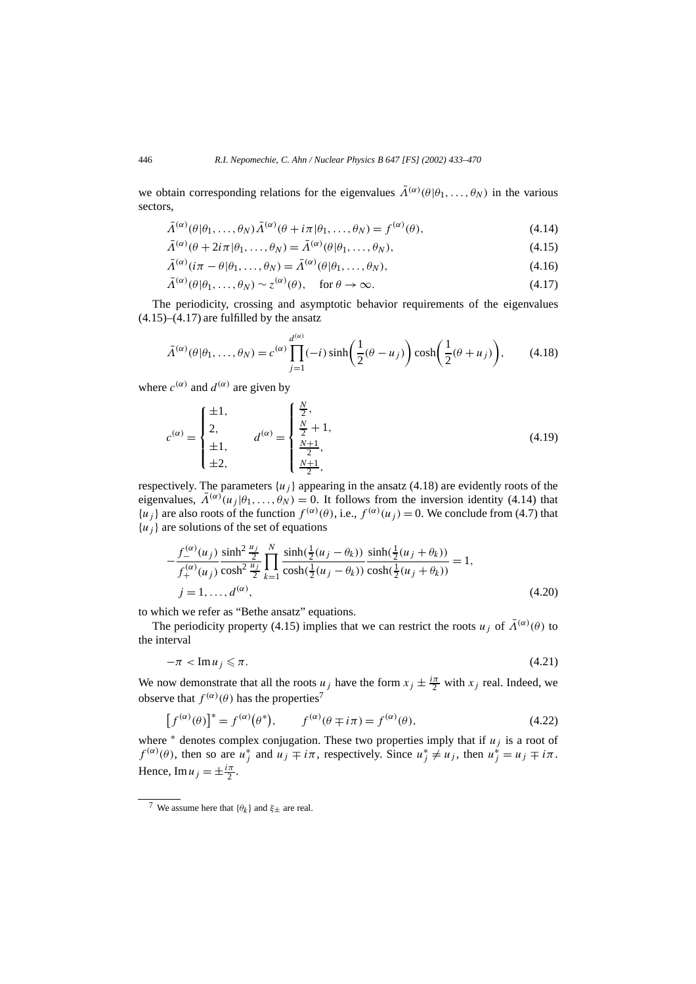we obtain corresponding relations for the eigenvalues  $\bar{\Lambda}^{(\alpha)}(\theta|\theta_1,\ldots,\theta_N)$  in the various sectors,

$$
\bar{\Lambda}^{(\alpha)}(\theta|\theta_1,\ldots,\theta_N)\bar{\Lambda}^{(\alpha)}(\theta+i\pi|\theta_1,\ldots,\theta_N)=f^{(\alpha)}(\theta),\tag{4.14}
$$

$$
\bar{\Lambda}^{(\alpha)}(\theta + 2i\pi | \theta_1, \dots, \theta_N) = \bar{\Lambda}^{(\alpha)}(\theta | \theta_1, \dots, \theta_N),
$$
\n(4.15)

$$
\bar{\Lambda}^{(\alpha)}(i\pi - \theta | \theta_1, \dots, \theta_N) = \bar{\Lambda}^{(\alpha)}(\theta | \theta_1, \dots, \theta_N),\tag{4.16}
$$

$$
\bar{\Lambda}^{(\alpha)}(\theta|\theta_1,\ldots,\theta_N) \sim z^{(\alpha)}(\theta), \quad \text{for } \theta \to \infty.
$$
 (4.17)

The periodicity, crossing and asymptotic behavior requirements of the eigenvalues  $(4.15)$ – $(4.17)$  are fulfilled by the ansatz

$$
\bar{\Lambda}^{(\alpha)}(\theta|\theta_1,\ldots,\theta_N) = c^{(\alpha)} \prod_{j=1}^{d^{(\alpha)}} (-i) \sinh\left(\frac{1}{2}(\theta - u_j)\right) \cosh\left(\frac{1}{2}(\theta + u_j)\right),\tag{4.18}
$$

where  $c^{(\alpha)}$  and  $d^{(\alpha)}$  are given by

$$
c^{(\alpha)} = \begin{cases} \pm 1, \\ 2, \\ \pm 1, \\ \pm 2, \end{cases} \qquad d^{(\alpha)} = \begin{cases} \frac{N}{2}, \\ \frac{N}{2} + 1, \\ \frac{N+1}{2}, \\ \frac{N+1}{2}, \end{cases} \tag{4.19}
$$

respectively. The parameters  $\{u_i\}$  appearing in the ansatz (4.18) are evidently roots of the eigenvalues,  $\bar{\Lambda}^{(\alpha)}(u_i|\theta_1,\ldots,\theta_N) = 0$ . It follows from the inversion identity (4.14) that  ${u_i}$  are also roots of the function  $f^{(\alpha)}(\theta)$ , i.e.,  $f^{(\alpha)}(u_i) = 0$ . We conclude from (4.7) that  ${u_i}$  are solutions of the set of equations

$$
-\frac{f_{-}^{(\alpha)}(u_j)}{f_{+}^{(\alpha)}(u_j)} \frac{\sinh^2 \frac{u_j}{2}}{\cosh^2 \frac{u_j}{2}} \prod_{k=1}^N \frac{\sinh(\frac{1}{2}(u_j - \theta_k))}{\cosh(\frac{1}{2}(u_j - \theta_k))} \frac{\sinh(\frac{1}{2}(u_j + \theta_k))}{\cosh(\frac{1}{2}(u_j + \theta_k))} = 1,
$$
  
\n $j = 1, ..., d^{(\alpha)},$ \n(4.20)

to which we refer as "Bethe ansatz" equations.

The periodicity property (4.15) implies that we can restrict the roots *u<sub>j</sub>* of  $\bar{\Lambda}^{(\alpha)}(\theta)$  to the interval

$$
-\pi < \operatorname{Im} u_j \leqslant \pi. \tag{4.21}
$$

We now demonstrate that all the roots  $u_j$  have the form  $x_j \pm \frac{i\pi}{2}$  with  $x_j$  real. Indeed, we observe that  $f^{(\alpha)}(\theta)$  has the properties<sup>7</sup>

$$
\left[f^{(\alpha)}(\theta)\right]^* = f^{(\alpha)}(\theta^*), \qquad f^{(\alpha)}(\theta \mp i\pi) = f^{(\alpha)}(\theta), \tag{4.22}
$$

where  $*$  denotes complex conjugation. These two properties imply that if  $u_j$  is a root of  $f^{(\alpha)}(\theta)$ , then so are  $u_j^*$  and  $u_j \neq i\pi$ , respectively. Since  $u_j^* \neq u_j$ , then  $u_j^* = u_j \neq i\pi$ . Hence,  $\text{Im}\,u_j = \pm \frac{i\pi}{2}$ .

<sup>&</sup>lt;sup>7</sup> We assume here that  $\{\theta_k\}$  and  $\xi_{\pm}$  are real.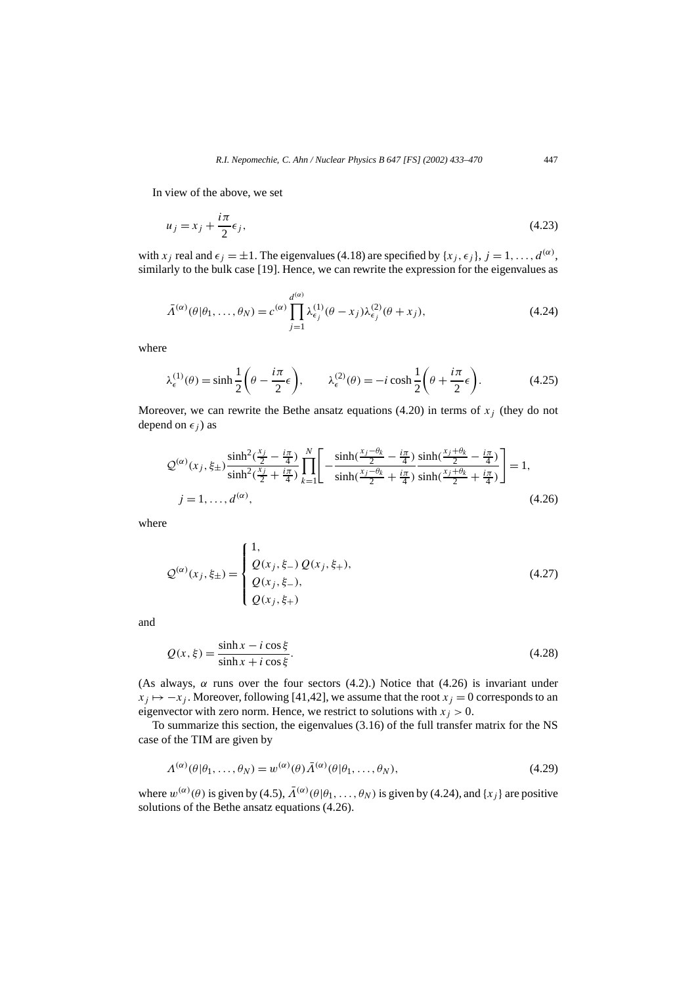In view of the above, we set

$$
u_j = x_j + \frac{i\pi}{2}\epsilon_j,\tag{4.23}
$$

with *x<sub>j</sub>* real and  $\epsilon_j = \pm 1$ . The eigenvalues (4.18) are specified by  $\{x_j, \epsilon_j\}$ ,  $j = 1, \ldots, d^{(\alpha)}$ , similarly to the bulk case [19]. Hence, we can rewrite the expression for the eigenvalues as

$$
\bar{\Lambda}^{(\alpha)}(\theta|\theta_1,\ldots,\theta_N) = c^{(\alpha)} \prod_{j=1}^{d^{(\alpha)}} \lambda_{\epsilon_j}^{(1)}(\theta - x_j) \lambda_{\epsilon_j}^{(2)}(\theta + x_j),
$$
\n(4.24)

where

$$
\lambda_{\epsilon}^{(1)}(\theta) = \sinh\frac{1}{2}\left(\theta - \frac{i\pi}{2}\epsilon\right), \qquad \lambda_{\epsilon}^{(2)}(\theta) = -i\cosh\frac{1}{2}\left(\theta + \frac{i\pi}{2}\epsilon\right). \tag{4.25}
$$

Moreover, we can rewrite the Bethe ansatz equations  $(4.20)$  in terms of  $x_i$  (they do not depend on  $\epsilon_i$ ) as

$$
\mathcal{Q}^{(\alpha)}(x_j, \xi_{\pm}) \frac{\sinh^2(\frac{x_j}{2} - \frac{i\pi}{4})}{\sinh^2(\frac{x_j}{2} + \frac{i\pi}{4})} \prod_{k=1}^N \left[ -\frac{\sinh(\frac{x_j - \theta_k}{2} - \frac{i\pi}{4})}{\sinh(\frac{x_j - \theta_k}{2} + \frac{i\pi}{4})} \frac{\sinh(\frac{x_j + \theta_k}{2} - \frac{i\pi}{4})}{\sinh(\frac{x_j + \theta_k}{2} + \frac{i\pi}{4})} \right] = 1,
$$
\n
$$
j = 1, \dots, d^{(\alpha)}, \tag{4.26}
$$

where

$$
Q^{(\alpha)}(x_j, \xi_{\pm}) = \begin{cases} 1, \\ Q(x_j, \xi_{-}) Q(x_j, \xi_{+}), \\ Q(x_j, \xi_{-}), \\ Q(x_j, \xi_{+}) \end{cases}
$$
(4.27)

and

$$
Q(x,\xi) = \frac{\sinh x - i \cos \xi}{\sinh x + i \cos \xi}.
$$
\n(4.28)

(As always,  $\alpha$  runs over the four sectors (4.2).) Notice that (4.26) is invariant under  $x_j \mapsto -x_j$ . Moreover, following [41,42], we assume that the root  $x_j = 0$  corresponds to an eigenvector with zero norm. Hence, we restrict to solutions with  $x_j > 0$ .

To summarize this section, the eigenvalues (3.16) of the full transfer matrix for the NS case of the TIM are given by

$$
\Lambda^{(\alpha)}(\theta|\theta_1,\ldots,\theta_N) = w^{(\alpha)}(\theta)\bar{\Lambda}^{(\alpha)}(\theta|\theta_1,\ldots,\theta_N),\tag{4.29}
$$

where  $w^{(\alpha)}(\theta)$  is given by (4.5),  $\bar{\Lambda}^{(\alpha)}(\theta|\theta_1,\ldots,\theta_N)$  is given by (4.24), and  $\{x_i\}$  are positive solutions of the Bethe ansatz equations (4.26).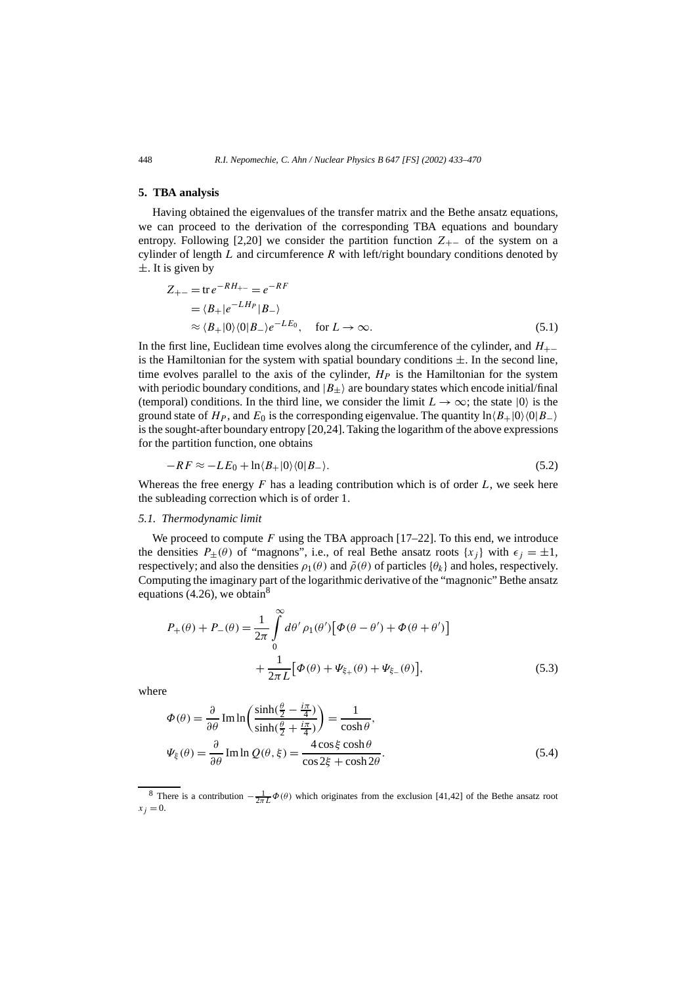#### **5. TBA analysis**

Having obtained the eigenvalues of the transfer matrix and the Bethe ansatz equations, we can proceed to the derivation of the corresponding TBA equations and boundary entropy. Following [2,20] we consider the partition function  $Z_{+-}$  of the system on a cylinder of length *L* and circumference *R* with left/right boundary conditions denoted by  $\pm$ . It is given by

$$
Z_{+-} = \text{tr} \, e^{-RH_{+-}} = e^{-RF}
$$
  
=  $\langle B_+|e^{-LH_P}|B_-\rangle$   
 $\approx \langle B_+|0\rangle\langle 0|B_- \rangle e^{-LE_0}, \quad \text{for } L \to \infty.$  (5.1)

In the first line, Euclidean time evolves along the circumference of the cylinder, and *H*+− is the Hamiltonian for the system with spatial boundary conditions  $\pm$ . In the second line, time evolves parallel to the axis of the cylinder,  $H_P$  is the Hamiltonian for the system with periodic boundary conditions, and  $|B_{\pm}\rangle$  are boundary states which encode initial/final (temporal) conditions. In the third line, we consider the limit  $L \to \infty$ ; the state  $|0\rangle$  is the ground state of  $H_P$ , and  $E_0$  is the corresponding eigenvalue. The quantity  $\ln \langle B_+|0\rangle \langle 0|B_-\rangle$ is the sought-after boundary entropy [20,24]. Taking the logarithm of the above expressions for the partition function, one obtains

$$
-RF \approx -LE_0 + \ln \langle B_+|0\rangle \langle 0|B_-\rangle. \tag{5.2}
$$

Whereas the free energy  $F$  has a leading contribution which is of order  $L$ , we seek here the subleading correction which is of order 1.

#### *5.1. Thermodynamic limit*

We proceed to compute *F* using the TBA approach [17–22]. To this end, we introduce the densities  $P_{\pm}(\theta)$  of "magnons", i.e., of real Bethe ansatz roots  $\{x_i\}$  with  $\epsilon_i = \pm 1$ , respectively; and also the densities  $\rho_1(\theta)$  and  $\tilde{\rho}(\theta)$  of particles  $\{\theta_k\}$  and holes, respectively. Computing the imaginary part of the logarithmic derivative of the "magnonic" Bethe ansatz equations (4.26), we obtain<sup>8</sup>

$$
P_{+}(\theta) + P_{-}(\theta) = \frac{1}{2\pi} \int_{0}^{\infty} d\theta' \rho_{1}(\theta') [\Phi(\theta - \theta') + \Phi(\theta + \theta')]
$$

$$
+ \frac{1}{2\pi L} [\Phi(\theta) + \Psi_{\xi_{+}}(\theta) + \Psi_{\xi_{-}}(\theta)], \qquad (5.3)
$$

where

$$
\Phi(\theta) = \frac{\partial}{\partial \theta} \operatorname{Im} \ln \left( \frac{\sinh(\frac{\theta}{2} - \frac{i\pi}{4})}{\sinh(\frac{\theta}{2} + \frac{i\pi}{4})} \right) = \frac{1}{\cosh \theta},
$$
\n
$$
\Psi_{\xi}(\theta) = \frac{\partial}{\partial \theta} \operatorname{Im} \ln Q(\theta, \xi) = \frac{4 \cos \xi \cosh \theta}{\cos 2\xi + \cosh 2\theta}.
$$
\n(5.4)

<sup>&</sup>lt;sup>8</sup> There is a contribution  $-\frac{1}{2\pi L}\Phi(\theta)$  which originates from the exclusion [41,42] of the Bethe ansatz root  $x_i = 0$ .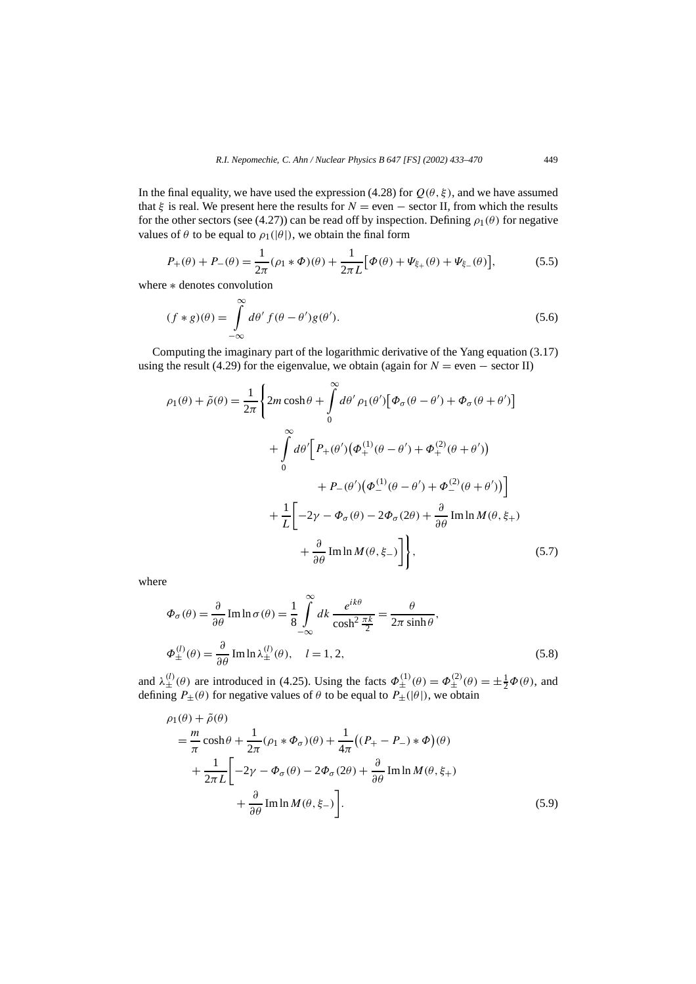In the final equality, we have used the expression (4.28) for  $Q(\theta, \xi)$ , and we have assumed that  $\xi$  is real. We present here the results for  $N =$  even  $-$  sector II, from which the results for the other sectors (see (4.27)) can be read off by inspection. Defining  $\rho_1(\theta)$  for negative values of  $\theta$  to be equal to  $\rho_1(|\theta|)$ , we obtain the final form

$$
P_{+}(\theta) + P_{-}(\theta) = \frac{1}{2\pi} (\rho_1 * \Phi)(\theta) + \frac{1}{2\pi L} [\Phi(\theta) + \Psi_{\xi_{+}}(\theta) + \Psi_{\xi_{-}}(\theta)],
$$
 (5.5)

where ∗ denotes convolution

$$
(f * g)(\theta) = \int_{-\infty}^{\infty} d\theta' f(\theta - \theta') g(\theta').
$$
\n(5.6)

Computing the imaginary part of the logarithmic derivative of the Yang equation (3.17) using the result (4.29) for the eigenvalue, we obtain (again for  $N =$  even  $-$  sector II)

$$
\rho_1(\theta) + \tilde{\rho}(\theta) = \frac{1}{2\pi} \left\{ 2m \cosh \theta + \int_0^\infty d\theta' \rho_1(\theta') \left[ \Phi_\sigma(\theta - \theta') + \Phi_\sigma(\theta + \theta') \right] \right.+ \int_0^\infty d\theta' \left[ P_+(\theta') \left( \Phi_+^{(1)}(\theta - \theta') + \Phi_+^{(2)}(\theta + \theta') \right) \right.+ P_-(\theta') \left( \Phi_-^{(1)}(\theta - \theta') + \Phi_-^{(2)}(\theta + \theta') \right) \right]+ \frac{1}{L} \left[ -2\gamma - \Phi_\sigma(\theta) - 2\Phi_\sigma(2\theta) + \frac{\partial}{\partial \theta} \text{Im} \ln M(\theta, \xi +) \right.+ \frac{\partial}{\partial \theta} \text{Im} \ln M(\theta, \xi -) \right], \tag{5.7}
$$

where

$$
\Phi_{\sigma}(\theta) = \frac{\partial}{\partial \theta} \operatorname{Im} \ln \sigma(\theta) = \frac{1}{8} \int_{-\infty}^{\infty} dk \, \frac{e^{ik\theta}}{\cosh^2 \frac{\pi k}{2}} = \frac{\theta}{2\pi \sinh \theta},
$$
  

$$
\Phi_{\pm}^{(l)}(\theta) = \frac{\partial}{\partial \theta} \operatorname{Im} \ln \lambda_{\pm}^{(l)}(\theta), \quad l = 1, 2,
$$
 (5.8)

and  $\lambda_{\pm}^{(l)}(\theta)$  are introduced in (4.25). Using the facts  $\Phi_{\pm}^{(1)}(\theta) = \Phi_{\pm}^{(2)}(\theta) = \pm \frac{1}{2}\Phi(\theta)$ , and defining  $P_{\pm}(\theta)$  for negative values of  $\theta$  to be equal to  $P_{\pm}(\theta)$ , we obtain

$$
\rho_1(\theta) + \tilde{\rho}(\theta)
$$
\n
$$
= \frac{m}{\pi} \cosh \theta + \frac{1}{2\pi} (\rho_1 * \Phi_\sigma)(\theta) + \frac{1}{4\pi} ((P_+ - P_-) * \Phi)(\theta)
$$
\n
$$
+ \frac{1}{2\pi L} \left[ -2\gamma - \Phi_\sigma(\theta) - 2\Phi_\sigma(2\theta) + \frac{\partial}{\partial \theta} \operatorname{Im} \ln M(\theta, \xi_+) \right]
$$
\n
$$
+ \frac{\partial}{\partial \theta} \operatorname{Im} \ln M(\theta, \xi_-) \right].
$$
\n(5.9)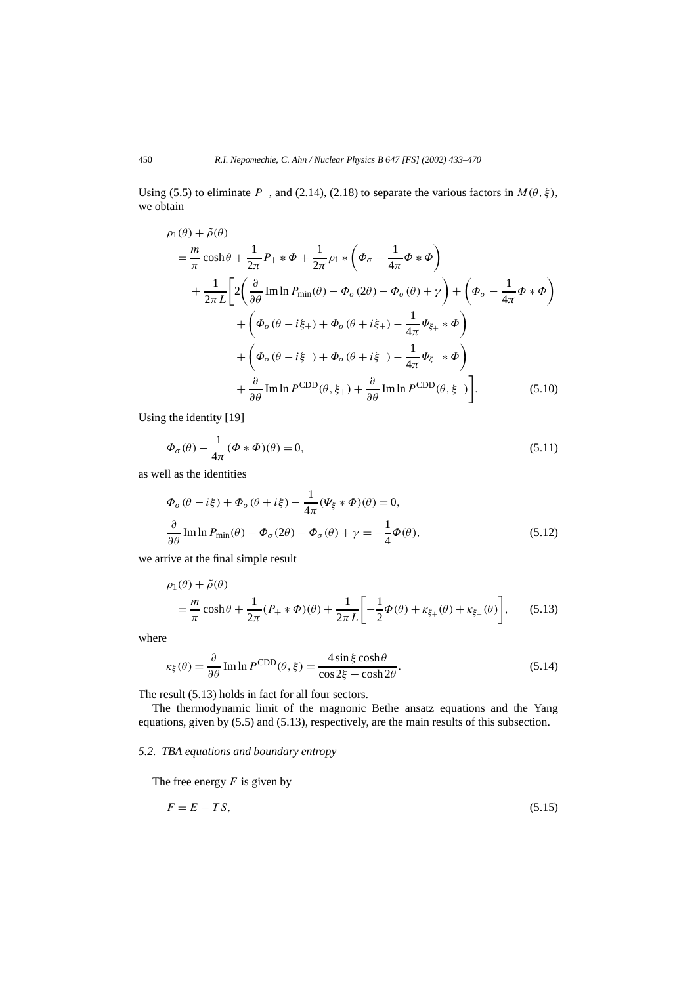Using (5.5) to eliminate  $P_$ , and (2.14), (2.18) to separate the various factors in  $M(\theta, \xi)$ , we obtain

$$
\rho_1(\theta) + \tilde{\rho}(\theta)
$$
\n
$$
= \frac{m}{\pi} \cosh \theta + \frac{1}{2\pi} P_+ * \Phi + \frac{1}{2\pi} \rho_1 * (\Phi_\sigma - \frac{1}{4\pi} \Phi * \Phi)
$$
\n
$$
+ \frac{1}{2\pi L} \Big[ 2 \Big( \frac{\partial}{\partial \theta} \operatorname{Im} \ln P_{\min}(\theta) - \Phi_\sigma(2\theta) - \Phi_\sigma(\theta) + \gamma \Big) + (\Phi_\sigma - \frac{1}{4\pi} \Phi * \Phi)
$$
\n
$$
+ (\Phi_\sigma(\theta - i\xi_+) + \Phi_\sigma(\theta + i\xi_+) - \frac{1}{4\pi} \Psi_{\xi_+} * \Phi)
$$
\n
$$
+ (\Phi_\sigma(\theta - i\xi_-) + \Phi_\sigma(\theta + i\xi_-) - \frac{1}{4\pi} \Psi_{\xi_-} * \Phi)
$$
\n
$$
+ \frac{\partial}{\partial \theta} \operatorname{Im} \ln P^{\text{CDD}}(\theta, \xi_+) + \frac{\partial}{\partial \theta} \operatorname{Im} \ln P^{\text{CDD}}(\theta, \xi_-) \Big]. \tag{5.10}
$$

Using the identity [19]

$$
\Phi_{\sigma}(\theta) - \frac{1}{4\pi}(\Phi * \Phi)(\theta) = 0, \tag{5.11}
$$

as well as the identities

$$
\Phi_{\sigma}(\theta - i\xi) + \Phi_{\sigma}(\theta + i\xi) - \frac{1}{4\pi}(\Psi_{\xi} * \Phi)(\theta) = 0,
$$
  

$$
\frac{\partial}{\partial \theta} \operatorname{Im} \ln P_{\min}(\theta) - \Phi_{\sigma}(2\theta) - \Phi_{\sigma}(\theta) + \gamma = -\frac{1}{4}\Phi(\theta),
$$
 (5.12)

we arrive at the final simple result

1

$$
\rho_1(\theta) + \tilde{\rho}(\theta)
$$
  
=  $\frac{m}{\pi} \cosh \theta + \frac{1}{2\pi} (P_+ * \Phi)(\theta) + \frac{1}{2\pi L} \left[ -\frac{1}{2} \Phi(\theta) + \kappa_{\xi_+}(\theta) + \kappa_{\xi_-}(\theta) \right],$  (5.13)

where

$$
\kappa_{\xi}(\theta) = \frac{\partial}{\partial \theta} \operatorname{Im} \ln P^{\text{CDD}}(\theta, \xi) = \frac{4 \sin \xi \cosh \theta}{\cos 2\xi - \cosh 2\theta}.
$$
 (5.14)

The result (5.13) holds in fact for all four sectors.

The thermodynamic limit of the magnonic Bethe ansatz equations and the Yang equations, given by (5.5) and (5.13), respectively, are the main results of this subsection.

### *5.2. TBA equations and boundary entropy*

The free energy *F* is given by

$$
F = E - TS,\tag{5.15}
$$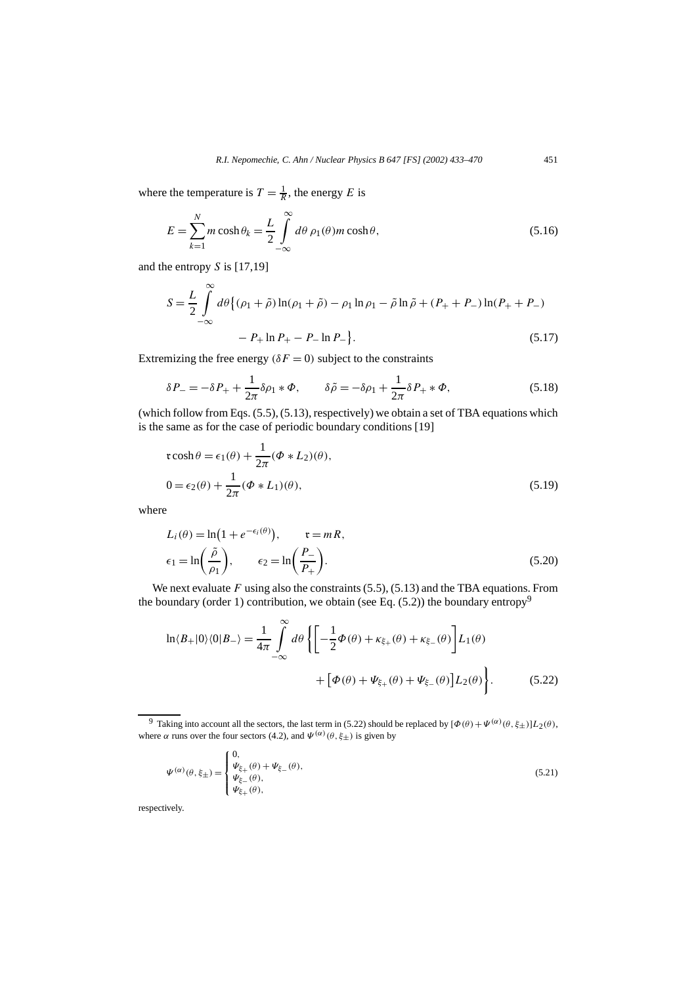where the temperature is  $T = \frac{1}{R}$ , the energy *E* is

$$
E = \sum_{k=1}^{N} m \cosh \theta_k = \frac{L}{2} \int_{-\infty}^{\infty} d\theta \, \rho_1(\theta) m \cosh \theta,\tag{5.16}
$$

and the entropy *S* is [17,19]

$$
S = \frac{L}{2} \int_{-\infty}^{\infty} d\theta \{ (\rho_1 + \tilde{\rho}) \ln(\rho_1 + \tilde{\rho}) - \rho_1 \ln \rho_1 - \tilde{\rho} \ln \tilde{\rho} + (P_+ + P_-) \ln(P_+ + P_-) - P_+ \ln P_+ - P_- \ln P_- \}.
$$
\n(5.17)

Extremizing the free energy  $(\delta F = 0)$  subject to the constraints

$$
\delta P_{-} = -\delta P_{+} + \frac{1}{2\pi} \delta \rho_{1} * \Phi, \qquad \delta \tilde{\rho} = -\delta \rho_{1} + \frac{1}{2\pi} \delta P_{+} * \Phi,
$$
\n(5.18)

(which follow from Eqs. (5.5), (5.13), respectively) we obtain a set of TBA equations which is the same as for the case of periodic boundary conditions [19]

$$
\mathfrak{r}\cosh\theta = \epsilon_1(\theta) + \frac{1}{2\pi}(\Phi * L_2)(\theta),
$$
  

$$
0 = \epsilon_2(\theta) + \frac{1}{2\pi}(\Phi * L_1)(\theta),
$$
 (5.19)

where

$$
L_i(\theta) = \ln(1 + e^{-\epsilon_i(\theta)}), \qquad \mathfrak{r} = mR,
$$
  

$$
\epsilon_1 = \ln\left(\frac{\tilde{\rho}}{\rho_1}\right), \qquad \epsilon_2 = \ln\left(\frac{P_-}{P_+}\right).
$$
 (5.20)

We next evaluate *F* using also the constraints (5.5), (5.13) and the TBA equations. From the boundary (order 1) contribution, we obtain (see Eq.  $(5.2)$ ) the boundary entropy<sup>9</sup>

$$
\ln \langle B_+|0\rangle \langle 0|B_-\rangle = \frac{1}{4\pi} \int_{-\infty}^{\infty} d\theta \left\{ \left[ -\frac{1}{2} \Phi(\theta) + \kappa_{\xi_+}(\theta) + \kappa_{\xi_-}(\theta) \right] L_1(\theta) + \left[ \Phi(\theta) + \Psi_{\xi_+}(\theta) + \Psi_{\xi_-}(\theta) \right] L_2(\theta) \right\}.
$$
 (5.22)

$$
\Psi^{(\alpha)}(\theta,\xi_{\pm}) = \begin{cases} 0, & (\xi_{\pm}) \in \Psi_{\xi_{\pm}}(\theta), \\ \Psi_{\xi_{\pm}}(\theta), & (\xi_{\pm}) \in \Psi_{\xi_{\pm}}(\theta), \\ \Psi_{\xi_{\pm}}(\theta), & (\xi_{\pm}) \in \Psi_{\xi_{\pm}}(\theta). \end{cases}
$$

respectively.

<sup>&</sup>lt;sup>9</sup> Taking into account all the sectors, the last term in (5.22) should be replaced by  $[Φ(θ) + Ψ(α)(θ, ξ<sub>±</sub>)]L<sub>2</sub>(θ)$ , where *α* runs over the four sectors (4.2), and  $\Psi^{(\alpha)}(\theta, \xi_{\pm})$  is given by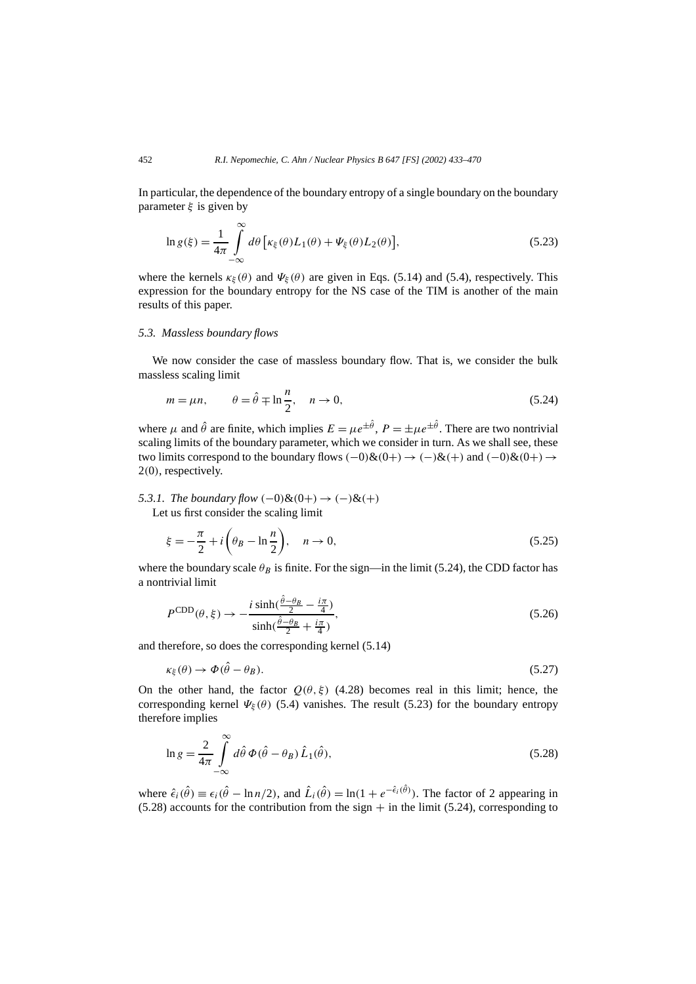In particular, the dependence of the boundary entropy of a single boundary on the boundary parameter *ξ* is given by

$$
\ln g(\xi) = \frac{1}{4\pi} \int_{-\infty}^{\infty} d\theta \left[ \kappa_{\xi}(\theta) L_1(\theta) + \Psi_{\xi}(\theta) L_2(\theta) \right],
$$
\n(5.23)

where the kernels  $\kappa_{\xi}(\theta)$  and  $\Psi_{\xi}(\theta)$  are given in Eqs. (5.14) and (5.4), respectively. This expression for the boundary entropy for the NS case of the TIM is another of the main results of this paper.

#### *5.3. Massless boundary flows*

We now consider the case of massless boundary flow. That is, we consider the bulk massless scaling limit

$$
m = \mu n, \qquad \theta = \hat{\theta} \mp \ln \frac{n}{2}, \quad n \to 0,
$$
\n(5.24)

where  $\mu$  and  $\hat{\theta}$  are finite, which implies  $E = \mu e^{\pm \hat{\theta}}$ ,  $P = \pm \mu e^{\pm \hat{\theta}}$ . There are two nontrivial scaling limits of the boundary parameter, which we consider in turn. As we shall see, these two limits correspond to the boundary flows  $(-0)$ & $(0+) \rightarrow (-)$ & $(+)$  and  $(-0)$ & $(0+) \rightarrow$ 2*(*0*)*, respectively.

#### *5.3.1. The boundary flow*  $(-0)$ & $(0+)$  →  $(-)$ & $(+)$ Let us first consider the scaling limit

$$
\xi = -\frac{\pi}{2} + i\left(\theta_B - \ln\frac{n}{2}\right), \quad n \to 0,
$$
\n(5.25)

where the boundary scale  $\theta_B$  is finite. For the sign—in the limit (5.24), the CDD factor has a nontrivial limit

$$
P^{\text{CDD}}(\theta,\xi) \to -\frac{i\sinh(\frac{\hat{\theta}-\theta_B}{2} - \frac{i\pi}{4})}{\sinh(\frac{\hat{\theta}-\theta_B}{2} + \frac{i\pi}{4})},\tag{5.26}
$$

and therefore, so does the corresponding kernel (5.14)

$$
\kappa_{\xi}(\theta) \to \Phi(\hat{\theta} - \theta_B). \tag{5.27}
$$

On the other hand, the factor  $Q(\theta, \xi)$  (4.28) becomes real in this limit; hence, the corresponding kernel  $\Psi_{\xi}(\theta)$  (5.4) vanishes. The result (5.23) for the boundary entropy therefore implies

$$
\ln g = \frac{2}{4\pi} \int_{-\infty}^{\infty} d\hat{\theta} \, \Phi(\hat{\theta} - \theta_B) \, \hat{L}_1(\hat{\theta}), \tag{5.28}
$$

where  $\hat{\epsilon}_i(\hat{\theta}) \equiv \epsilon_i(\hat{\theta} - \ln n/2)$ , and  $\hat{L}_i(\hat{\theta}) = \ln(1 + e^{-\hat{\epsilon}_i(\hat{\theta})})$ . The factor of 2 appearing in  $(5.28)$  accounts for the contribution from the sign  $+$  in the limit (5.24), corresponding to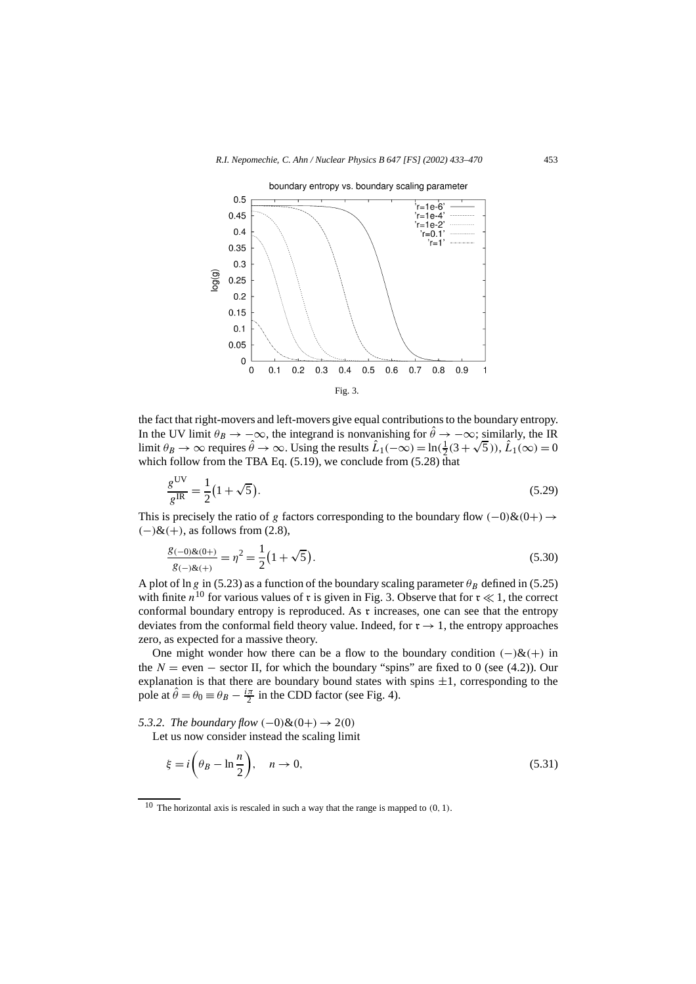

the fact that right-movers and left-movers give equal contributions to the boundary entropy. In the UV limit  $\theta_B \to -\infty$ , the integrand is nonvanishing for  $\hat{\theta} \to -\infty$ ; similarly, the IR In the UV limit  $\theta_B \to -\infty$ , the integrand is nonvanishing for  $\theta \to -\infty$ ; similarly, the IR<br>limit  $\theta_B \to \infty$  requires  $\hat{\theta} \to \infty$ . Using the results  $\hat{L}_1(-\infty) = \ln(\frac{1}{2}(3 + \sqrt{5}))$ ,  $\hat{L}_1(\infty) = 0$ which follow from the TBA Eq.  $(5.19)$ , we conclude from  $(5.28)$  that

$$
\frac{g^{\text{UV}}}{g^{\text{IR}}} = \frac{1}{2} (1 + \sqrt{5}).\tag{5.29}
$$

This is precisely the ratio of *g* factors corresponding to the boundary flow  $(-0)$ & $(0+) \rightarrow$ *(*−*)*&*(*+*)*, as follows from (2.8),

$$
\frac{g_{(-0)k(0+)}}{g_{(-)k(+)}} = \eta^2 = \frac{1}{2} \left( 1 + \sqrt{5} \right). \tag{5.30}
$$

A plot of ln *g* in (5.23) as a function of the boundary scaling parameter  $\theta_B$  defined in (5.25) with finite  $n^{10}$  for various values of r is given in Fig. 3. Observe that for  $r \ll 1$ , the correct conformal boundary entropy is reproduced. As  $\tau$  increases, one can see that the entropy deviates from the conformal field theory value. Indeed, for  $r \rightarrow 1$ , the entropy approaches zero, as expected for a massive theory.

One might wonder how there can be a flow to the boundary condition  $(-)$ & $(+)$  in the  $N =$  even  $-$  sector II, for which the boundary "spins" are fixed to 0 (see (4.2)). Our explanation is that there are boundary bound states with spins  $\pm 1$ , corresponding to the pole at  $\hat{\theta} = \theta_0 \equiv \theta_B - \frac{i\pi}{2}$  in the CDD factor (see Fig. 4).

*5.3.2. The boundary flow*  $(-0)$ & $(0+)$  → 2 $(0)$ 

Let us now consider instead the scaling limit

$$
\xi = i \left( \theta_B - \ln \frac{n}{2} \right), \quad n \to 0,
$$
\n(5.31)

<sup>10</sup> The horizontal axis is rescaled in such a way that the range is mapped to *(*0*,* 1*)*.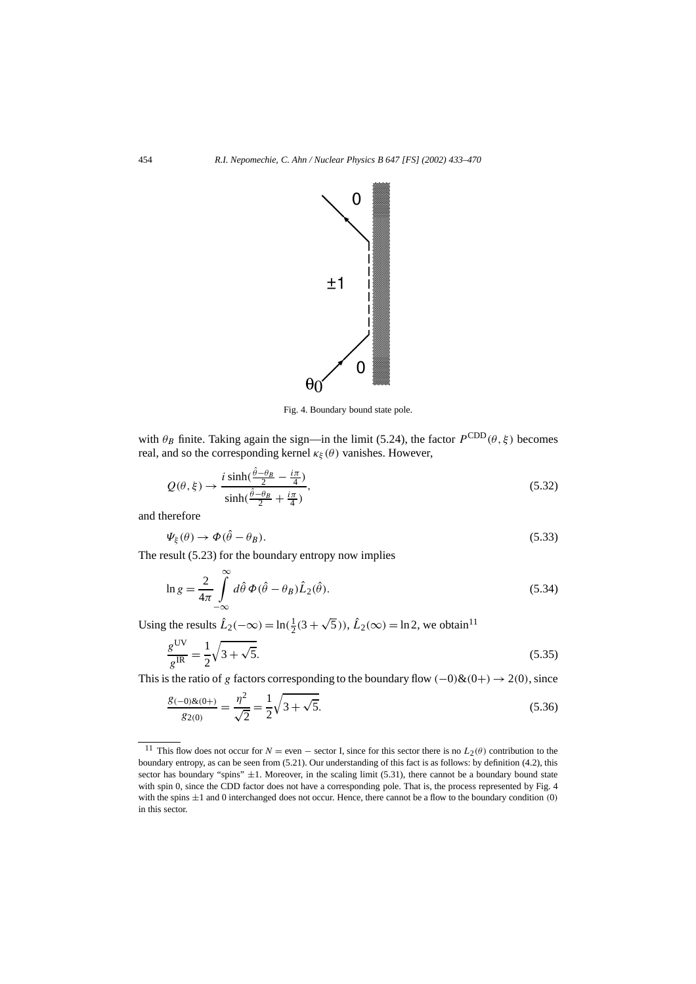

Fig. 4. Boundary bound state pole.

with  $\theta_B$  finite. Taking again the sign—in the limit (5.24), the factor  $P^{\text{CDD}}(\theta, \xi)$  becomes real, and so the corresponding kernel  $\kappa_{\xi}(\theta)$  vanishes. However,

$$
Q(\theta, \xi) \to \frac{i \sinh(\frac{\hat{\theta} - \theta_B}{2} - \frac{i\pi}{4})}{\sinh(\frac{\hat{\theta} - \theta_B}{2} + \frac{i\pi}{4})},
$$
\n(5.32)

and therefore

$$
\Psi_{\xi}(\theta) \to \Phi(\hat{\theta} - \theta_B). \tag{5.33}
$$

The result (5.23) for the boundary entropy now implies

$$
\ln g = \frac{2}{4\pi} \int_{-\infty}^{\infty} d\hat{\theta} \, \Phi(\hat{\theta} - \theta_B) \hat{L}_2(\hat{\theta}). \tag{5.34}
$$

Using the results  $\hat{L}_2(-\infty) = \ln(\frac{1}{2}(3+\sqrt{5}))$ ,  $\hat{L}_2(\infty) = \ln 2$ , we obtain<sup>11</sup>

$$
\frac{g^{\text{UV}}}{g^{\text{IR}}} = \frac{1}{2}\sqrt{3 + \sqrt{5}}.
$$
\n(5.35)

This is the ratio of *g* factors corresponding to the boundary flow  $(-0)$ & $(0+)$   $\rightarrow$  2 $(0)$ , since

$$
\frac{g_{(-0)\&(0+)}{g_{2(0)}} = \frac{\eta^2}{\sqrt{2}} = \frac{1}{2}\sqrt{3 + \sqrt{5}}.
$$
\n(5.36)

<sup>&</sup>lt;sup>11</sup> This flow does not occur for  $N =$  even  $-$  sector I, since for this sector there is no  $L_2(\theta)$  contribution to the boundary entropy, as can be seen from (5.21). Our understanding of this fact is as follows: by definition (4.2), this sector has boundary "spins"  $\pm 1$ . Moreover, in the scaling limit (5.31), there cannot be a boundary bound state with spin 0, since the CDD factor does not have a corresponding pole. That is, the process represented by Fig. 4 with the spins ±1 and 0 interchanged does not occur. Hence, there cannot be a flow to the boundary condition *(*0*)* in this sector.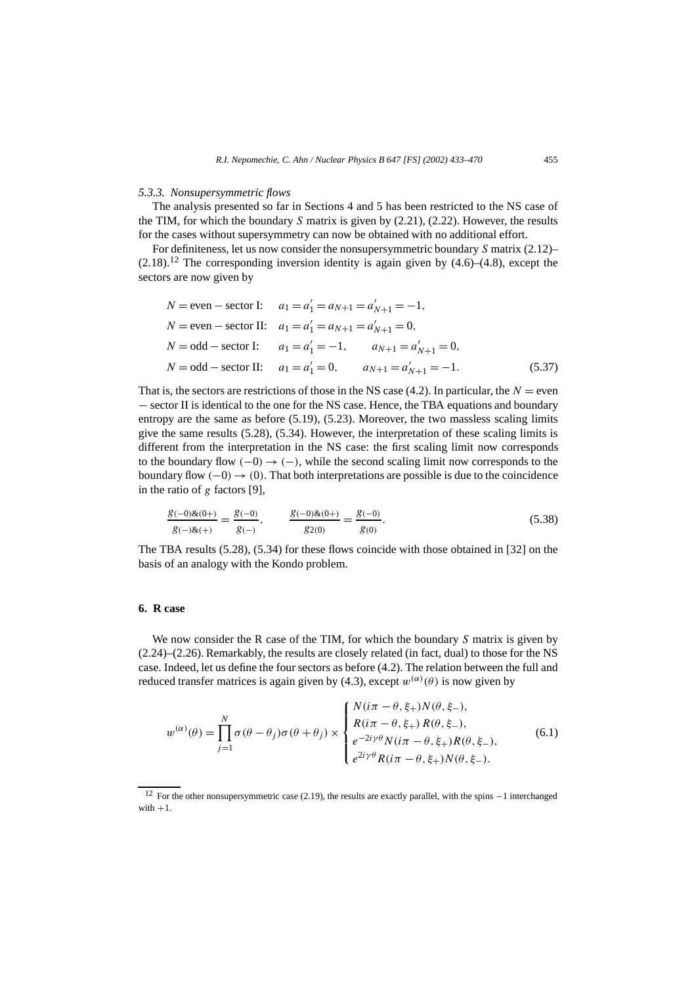#### *5.3.3. Nonsupersymmetric flows*

The analysis presented so far in Sections 4 and 5 has been restricted to the NS case of the TIM, for which the boundary *S* matrix is given by (2.21), (2.22). However, the results for the cases without supersymmetry can now be obtained with no additional effort.

For definiteness, let us now consider the nonsupersymmetric boundary *S* matrix (2.12)–  $(2.18)$ .<sup>12</sup> The corresponding inversion identity is again given by  $(4.6)$ – $(4.8)$ , except the sectors are now given by

$$
N = \text{even} - \text{sector I:} \quad a_1 = a'_1 = a_{N+1} = a'_{N+1} = -1,
$$
  
\n
$$
N = \text{even} - \text{sector II:} \quad a_1 = a'_1 = a_{N+1} = a'_{N+1} = 0,
$$
  
\n
$$
N = \text{odd} - \text{sector I:} \quad a_1 = a'_1 = -1, \qquad a_{N+1} = a'_{N+1} = 0,
$$
  
\n
$$
N = \text{odd} - \text{sector II:} \quad a_1 = a'_1 = 0, \qquad a_{N+1} = a'_{N+1} = -1.
$$
  
\n(5.37)

That is, the sectors are restrictions of those in the NS case  $(4.2)$ . In particular, the  $N =$  even − sector II is identical to the one for the NS case. Hence, the TBA equations and boundary entropy are the same as before (5.19), (5.23). Moreover, the two massless scaling limits give the same results (5.28), (5.34). However, the interpretation of these scaling limits is different from the interpretation in the NS case: the first scaling limit now corresponds to the boundary flow  $(-0) \rightarrow (-)$ , while the second scaling limit now corresponds to the boundary flow  $(-0) \rightarrow (0)$ . That both interpretations are possible is due to the coincidence in the ratio of *g* factors [9],

$$
\frac{g_{(-0)\&(0+)}{g_{(-)\&(+)}}}{g_{(-)\&(+)}} = \frac{g_{(-0)}}{g_{(-)}}, \qquad \frac{g_{(-0)\&(0+)}{g_{(0)}}}{g_{(0)}} = \frac{g_{(-0)}}{g_{(0)}}.
$$
\n(5.38)

The TBA results (5.28), (5.34) for these flows coincide with those obtained in [32] on the basis of an analogy with the Kondo problem.

#### **6. R case**

We now consider the R case of the TIM, for which the boundary *S* matrix is given by (2.24)–(2.26). Remarkably, the results are closely related (in fact, dual) to those for the NS case. Indeed, let us define the four sectors as before (4.2). The relation between the full and reduced transfer matrices is again given by (4.3), except  $w^{(\alpha)}(\theta)$  is now given by

$$
w^{(\alpha)}(\theta) = \prod_{j=1}^{N} \sigma(\theta - \theta_j) \sigma(\theta + \theta_j) \times \begin{cases} N(i\pi - \theta, \xi_+) N(\theta, \xi_-), \\ R(i\pi - \theta, \xi_+) R(\theta, \xi_-), \\ e^{-2i\gamma\theta} N(i\pi - \theta, \xi_+) R(\theta, \xi_-), \\ e^{2i\gamma\theta} R(i\pi - \theta, \xi_+) N(\theta, \xi_-). \end{cases}
$$
(6.1)

<sup>&</sup>lt;sup>12</sup> For the other nonsupersymmetric case (2.19), the results are exactly parallel, with the spins  $-1$  interchanged with  $+1$ .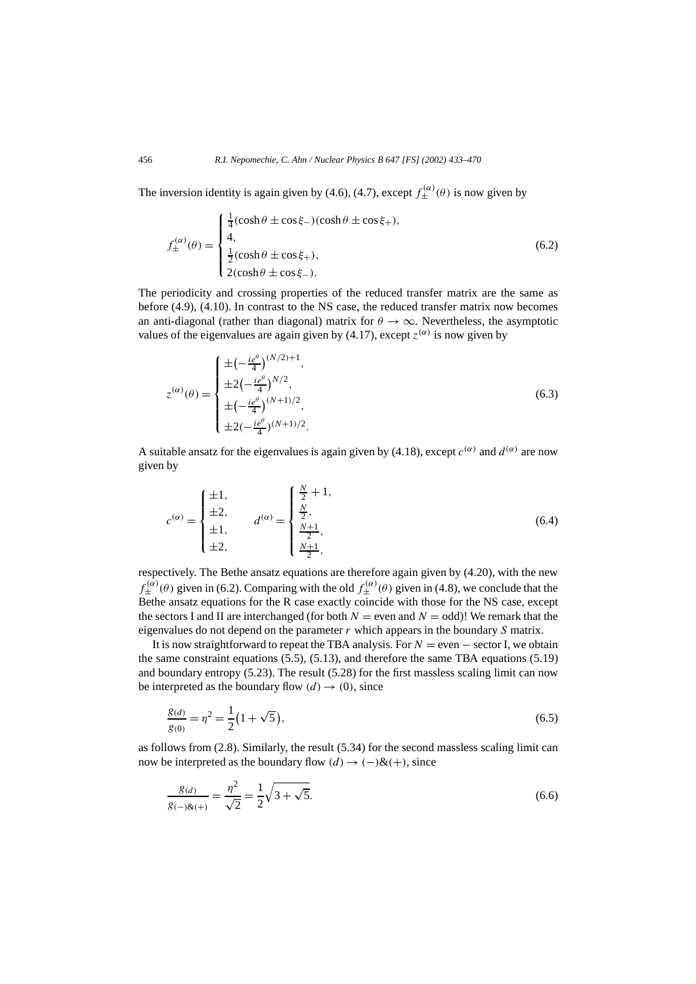The inversion identity is again given by (4.6), (4.7), except  $f_{\pm}^{(\alpha)}(\theta)$  is now given by

$$
f_{\pm}^{(\alpha)}(\theta) = \begin{cases} \frac{1}{4}(\cosh \theta \pm \cos \xi_{-})(\cosh \theta \pm \cos \xi_{+}),\\ 4,\\ \frac{1}{2}(\cosh \theta \pm \cos \xi_{+}),\\ 2(\cosh \theta \pm \cos \xi_{-}). \end{cases}
$$
(6.2)

The periodicity and crossing properties of the reduced transfer matrix are the same as before (4.9), (4.10). In contrast to the NS case, the reduced transfer matrix now becomes an anti-diagonal (rather than diagonal) matrix for  $\theta \to \infty$ . Nevertheless, the asymptotic values of the eigenvalues are again given by (4.17), except  $z^{(\alpha)}$  is now given by

$$
z^{(\alpha)}(\theta) = \begin{cases} \pm \left(-\frac{ie^{\theta}}{4}\right)^{(N/2)+1}, \\ \pm 2\left(-\frac{ie^{\theta}}{4}\right)^{N/2}, \\ \pm \left(-\frac{ie^{\theta}}{4}\right)^{(N+1)/2}, \\ \pm 2\left(-\frac{ie^{\theta}}{4}\right)^{(N+1)/2}. \end{cases}
$$
(6.3)

A suitable ansatz for the eigenvalues is again given by (4.18), except  $c^{(\alpha)}$  and  $d^{(\alpha)}$  are now given by

$$
c^{(\alpha)} = \begin{cases} \pm 1, & \text{if } \\ \pm 2, & \text{if } \\ \pm 1, & \text{if } \\ \pm 2, & \text{if } \\ \pm 2, & \text{if } \\ \end{cases} \qquad d^{(\alpha)} = \begin{cases} \frac{N}{2} + 1, & \text{if } \\ \frac{N}{2}, & \text{if } \\ \frac{N+1}{2}, & \text{if } \\ \frac{N+1}{2}, & \text{if } \\ \end{cases} \tag{6.4}
$$

respectively. The Bethe ansatz equations are therefore again given by (4.20), with the new  $f_{\pm}^{(\alpha)}(\theta)$  given in (6.2). Comparing with the old  $f_{\pm}^{(\alpha)}(\theta)$  given in (4.8), we conclude that the Bethe ansatz equations for the R case exactly coincide with those for the NS case, except the sectors I and II are interchanged (for both  $N =$  even and  $N =$  odd)! We remark that the eigenvalues do not depend on the parameter *r* which appears in the boundary *S* matrix.

It is now straightforward to repeat the TBA analysis. For  $N =$  even  $-$  sector I, we obtain the same constraint equations (5.5), (5.13), and therefore the same TBA equations (5.19) and boundary entropy (5.23). The result (5.28) for the first massless scaling limit can now be interpreted as the boundary flow  $(d) \rightarrow (0)$ , since

$$
\frac{g_{(d)}}{g_{(0)}} = \eta^2 = \frac{1}{2} \left( 1 + \sqrt{5} \right),\tag{6.5}
$$

as follows from  $(2.8)$ . Similarly, the result  $(5.34)$  for the second massless scaling limit can now be interpreted as the boundary flow  $(d) \rightarrow (-) \& (+)$ , since

$$
\frac{g(d)}{g(-)g(x+)} = \frac{\eta^2}{\sqrt{2}} = \frac{1}{2}\sqrt{3+\sqrt{5}}.
$$
\n(6.6)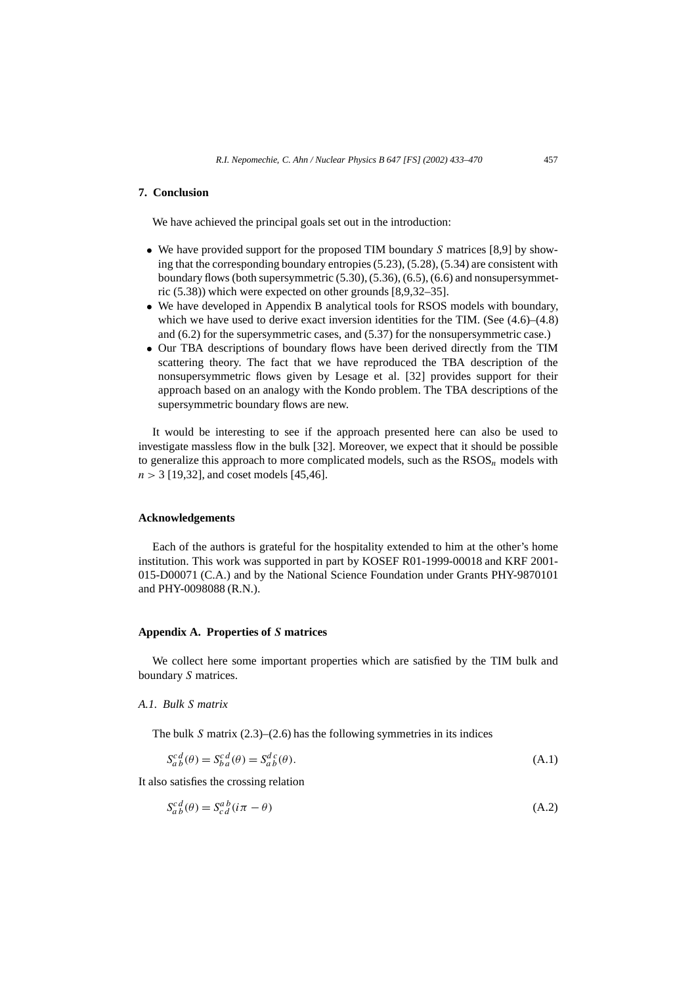### **7. Conclusion**

We have achieved the principal goals set out in the introduction:

- We have provided support for the proposed TIM boundary *S* matrices [8,9] by showing that the corresponding boundary entropies (5.23), (5.28), (5.34) are consistent with boundary flows (both supersymmetric (5.30), (5.36), (6.5), (6.6) and nonsupersymmetric (5.38)) which were expected on other grounds [8,9,32–35].
- We have developed in Appendix B analytical tools for RSOS models with boundary, which we have used to derive exact inversion identities for the TIM. (See  $(4.6)$ – $(4.8)$ ) and (6.2) for the supersymmetric cases, and (5.37) for the nonsupersymmetric case.)
- Our TBA descriptions of boundary flows have been derived directly from the TIM scattering theory. The fact that we have reproduced the TBA description of the nonsupersymmetric flows given by Lesage et al. [32] provides support for their approach based on an analogy with the Kondo problem. The TBA descriptions of the supersymmetric boundary flows are new.

It would be interesting to see if the approach presented here can also be used to investigate massless flow in the bulk [32]. Moreover, we expect that it should be possible to generalize this approach to more complicated models, such as the  $\text{RSOS}_n$  models with *n >* 3 [19,32], and coset models [45,46].

#### **Acknowledgements**

Each of the authors is grateful for the hospitality extended to him at the other's home institution. This work was supported in part by KOSEF R01-1999-00018 and KRF 2001- 015-D00071 (C.A.) and by the National Science Foundation under Grants PHY-9870101 and PHY-0098088 (R.N.).

#### **Appendix A. Properties of** *S* **matrices**

We collect here some important properties which are satisfied by the TIM bulk and boundary *S* matrices.

#### *A.1. Bulk S matrix*

The bulk *S* matrix (2.3)–(2.6) has the following symmetries in its indices

$$
S_{ab}^{c\,d}(\theta) = S_{ba}^{c\,d}(\theta) = S_{ab}^{d\,c}(\theta). \tag{A.1}
$$

It also satisfies the crossing relation

$$
S_{ab}^{c d}(\theta) = S_{c d}^{a b} (i\pi - \theta)
$$
\n(A.2)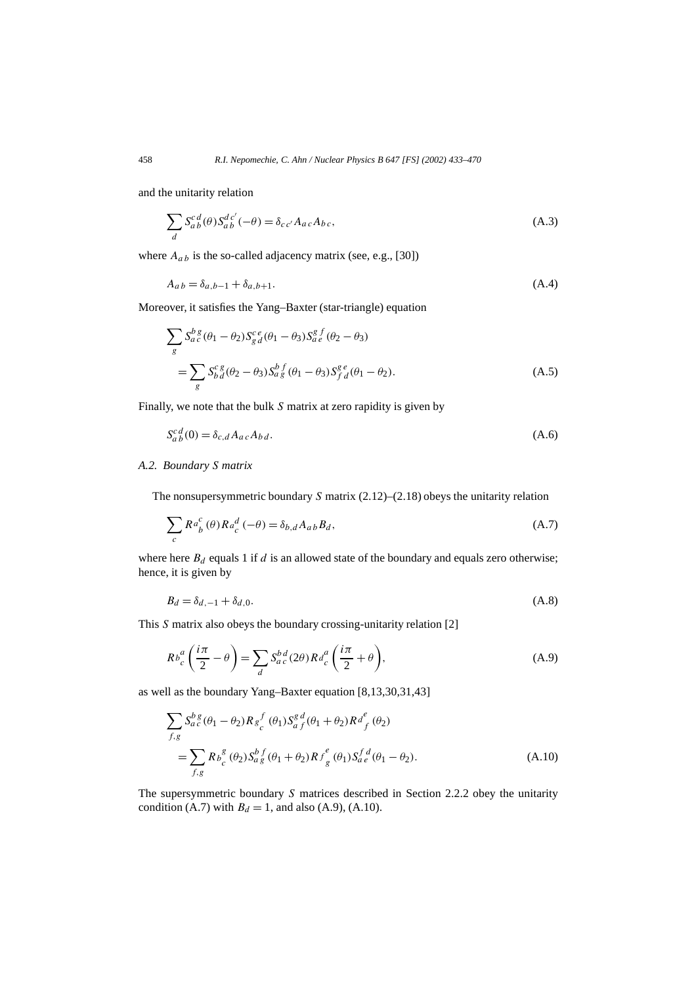and the unitarity relation

$$
\sum_{d} S_{a}^{cd}(\theta) S_{ab}^{dc'}(-\theta) = \delta_{cc'} A_{ac} A_{bc},
$$
\n(A.3)

where  $A_{ab}$  is the so-called adjacency matrix (see, e.g., [30])

$$
A_{ab} = \delta_{a,b-1} + \delta_{a,b+1}.\tag{A.4}
$$

Moreover, it satisfies the Yang–Baxter (star-triangle) equation

$$
\sum_{g} S_{a}^{b}{}_{c}^{g}(\theta_{1} - \theta_{2}) S_{g}^{c}{}_{d}^{e}(\theta_{1} - \theta_{3}) S_{a}^{g}{}_{e}^{f}(\theta_{2} - \theta_{3})
$$
\n
$$
= \sum_{g} S_{b}^{c}{}_{d}^{g}(\theta_{2} - \theta_{3}) S_{a}^{b}{}_{g}^{f}(\theta_{1} - \theta_{3}) S_{f}^{g}{}_{d}^{e}(\theta_{1} - \theta_{2}).
$$
\n(A.5)

Finally, we note that the bulk *S* matrix at zero rapidity is given by

$$
S_{ab}^{c\,d}(0) = \delta_{c,d} A_{ac} A_{bd}.
$$
\n(A.6)

#### *A.2. Boundary S matrix*

The nonsupersymmetric boundary *S* matrix (2.12)–(2.18) obeys the unitarity relation

$$
\sum_{c} R^{a}^{c}(\theta) R^{d}_{c}(-\theta) = \delta_{b,d} A_{ab} B_{d},
$$
\n(A.7)

where here  $B_d$  equals 1 if  $d$  is an allowed state of the boundary and equals zero otherwise; hence, it is given by

$$
B_d = \delta_{d,-1} + \delta_{d,0}.\tag{A.8}
$$

This *S* matrix also obeys the boundary crossing-unitarity relation [2]

$$
Rb_c^a\left(\frac{i\pi}{2}-\theta\right) = \sum_d S_{ac}^{bd}(2\theta)Rd_c^a\left(\frac{i\pi}{2}+\theta\right),\tag{A.9}
$$

as well as the boundary Yang–Baxter equation [8,13,30,31,43]

$$
\sum_{f,g} S_{a c}^{b g} (\theta_1 - \theta_2) R_{g}^{f} (\theta_1) S_{a f}^{g d} (\theta_1 + \theta_2) R_{f}^{e} (\theta_2)
$$
  
= 
$$
\sum_{f,g} R_{b c}^{g} (\theta_2) S_{a g}^{b f} (\theta_1 + \theta_2) R_{g}^{e} (\theta_1) S_{a e}^{f d} (\theta_1 - \theta_2).
$$
 (A.10)

The supersymmetric boundary *S* matrices described in Section 2.2.2 obey the unitarity condition (A.7) with  $B_d = 1$ , and also (A.9), (A.10).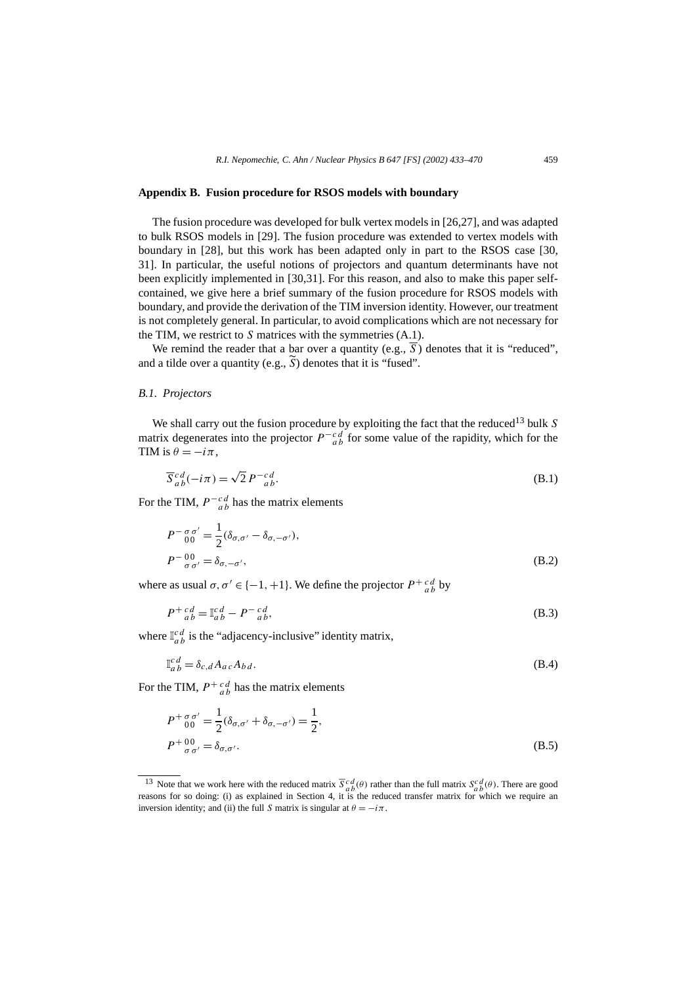#### **Appendix B. Fusion procedure for RSOS models with boundary**

The fusion procedure was developed for bulk vertex models in [26,27], and was adapted to bulk RSOS models in [29]. The fusion procedure was extended to vertex models with boundary in [28], but this work has been adapted only in part to the RSOS case [30, 31]. In particular, the useful notions of projectors and quantum determinants have not been explicitly implemented in [30,31]. For this reason, and also to make this paper selfcontained, we give here a brief summary of the fusion procedure for RSOS models with boundary, and provide the derivation of the TIM inversion identity. However, our treatment is not completely general. In particular, to avoid complications which are not necessary for the TIM, we restrict to *S* matrices with the symmetries (A.1).

We remind the reader that a bar over a quantity (e.g., S) denotes that it is "reduced", and a tilde over a quantity (e.g.,  $\widetilde{S}$ ) denotes that it is "fused".

#### *B.1. Projectors*

We shall carry out the fusion procedure by exploiting the fact that the reduced<sup>13</sup> bulk *S* matrix degenerates into the projector  $P^{-c} d \over ab$  for some value of the rapidity, which for the TIM is  $\theta = -i\pi$ ,

$$
\overline{S}_{ab}^{cd}(-i\pi) = \sqrt{2} P^{-cd}_{ab}.
$$
\n(B.1)

For the TIM,  $P^{-c d}_{ab}$  has the matrix elements

$$
P^{-\sigma \sigma'}_{00} = \frac{1}{2} (\delta_{\sigma,\sigma'} - \delta_{\sigma,-\sigma'}),
$$
  
\n
$$
P^{-00}_{\sigma \sigma'} = \delta_{\sigma,-\sigma'},
$$
\n(B.2)

where as usual  $\sigma, \sigma' \in \{-1, +1\}$ . We define the projector  $P^{\dagger}{}_{ab}^{cd}$  by

$$
P^{+}{}_{ab}^{cd} = \mathbb{I}_{ab}^{cd} - P^{-}{}_{ab}^{cd},\tag{B.3}
$$

where  $\mathbb{I}_{ab}^{cd}$  is the "adjacency-inclusive" identity matrix,

$$
\mathbb{I}_{ab}^{cd} = \delta_{c,d} A_{ac} A_{bd}.
$$
\n(B.4)

For the TIM,  $P^{+}{}_{a}^{cd}$  has the matrix elements

$$
P^{+}{}_{00}^{\sigma\sigma'} = \frac{1}{2} (\delta_{\sigma,\sigma'} + \delta_{\sigma,-\sigma'}) = \frac{1}{2},
$$
  
\n
$$
P^{+}{}_{\sigma\sigma'}^{00} = \delta_{\sigma,\sigma'}.
$$
\n(B.5)

<sup>&</sup>lt;sup>13</sup> Note that we work here with the reduced matrix  $\overline{S}{}_{a}^{c}d(\theta)$  rather than the full matrix  $S{}_{a}^{c}d(\theta)$ . There are good reasons for so doing: (i) as explained in Section 4, it is the reduced transfer matrix for inversion identity; and (ii) the full *S* matrix is singular at  $\theta = -i\pi$ .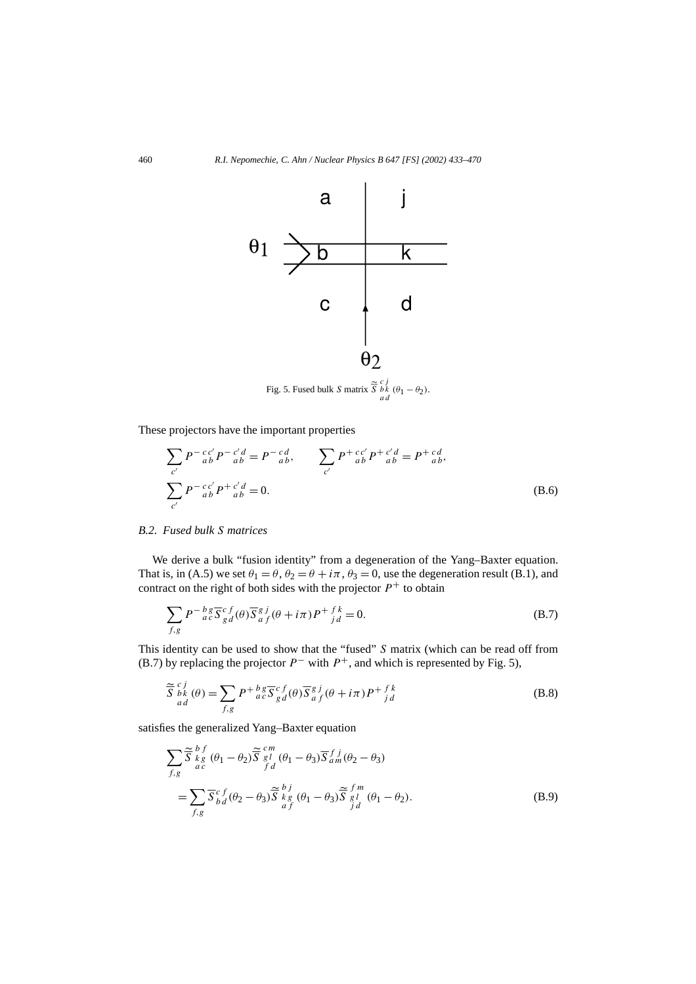

These projectors have the important properties

$$
\sum_{c'} P^{-c'_{ab}'} P^{-c'd}_{ab} = P^{-cd}_{ab}, \qquad \sum_{c'} P^{+c'_{ab}'} P^{+c'd}_{ab} = P^{+cd}_{ab},
$$
\n
$$
\sum_{c'} P^{-c'_{ab}'} P^{+c'd}_{ab} = 0.
$$
\n(B.6)

#### *B.2. Fused bulk S matrices*

We derive a bulk "fusion identity" from a degeneration of the Yang–Baxter equation. That is, in (A.5) we set  $\theta_1 = \theta$ ,  $\theta_2 = \theta + i\pi$ ,  $\theta_3 = 0$ , use the degeneration result (B.1), and contract on the right of both sides with the projector  $P<sup>+</sup>$  to obtain

$$
\sum_{f,g} P^{-\frac{b}{a}} \overline{S}^c_{gd}(\theta) \overline{S}^g_{af}(\theta + i\pi) P^{+ \frac{f k}{j}} = 0.
$$
 (B.7)

This identity can be used to show that the "fused" *S* matrix (which can be read off from (B.7) by replacing the projector  $P^-$  with  $P^+$ , and which is represented by Fig. 5),

$$
\widetilde{\overline{S}}_{\substack{bk\\ad}}^{c\ j}(\theta) = \sum_{f,g} P^+{}_{ac}^{b\ g} \overline{S}_{g\ d}^{c\ f}(\theta) \overline{S}_{af}^{g\ j}(\theta + i\pi) P^+{}_{j\ d}^{f\ k} \tag{B.8}
$$

satisfies the generalized Yang–Baxter equation

$$
\sum_{f,g} \tilde{\overline{S}}_{\substack{k g \\ a c}}^{b f} (\theta_1 - \theta_2) \tilde{\overline{S}}_{\substack{s l \\ f d}}^{c m} (\theta_1 - \theta_3) \overline{S}_{\substack{s \\ a f}}^{f j} (\theta_2 - \theta_3)
$$
  
= 
$$
\sum_{f,g} \overline{S}_{bd}^{c f} (\theta_2 - \theta_3) \tilde{\overline{S}}_{\substack{k g \\ a f}}^{b j} (\theta_1 - \theta_3) \tilde{\overline{S}}_{\substack{s l \\ j d}}^{f m} (\theta_1 - \theta_2).
$$
 (B.9)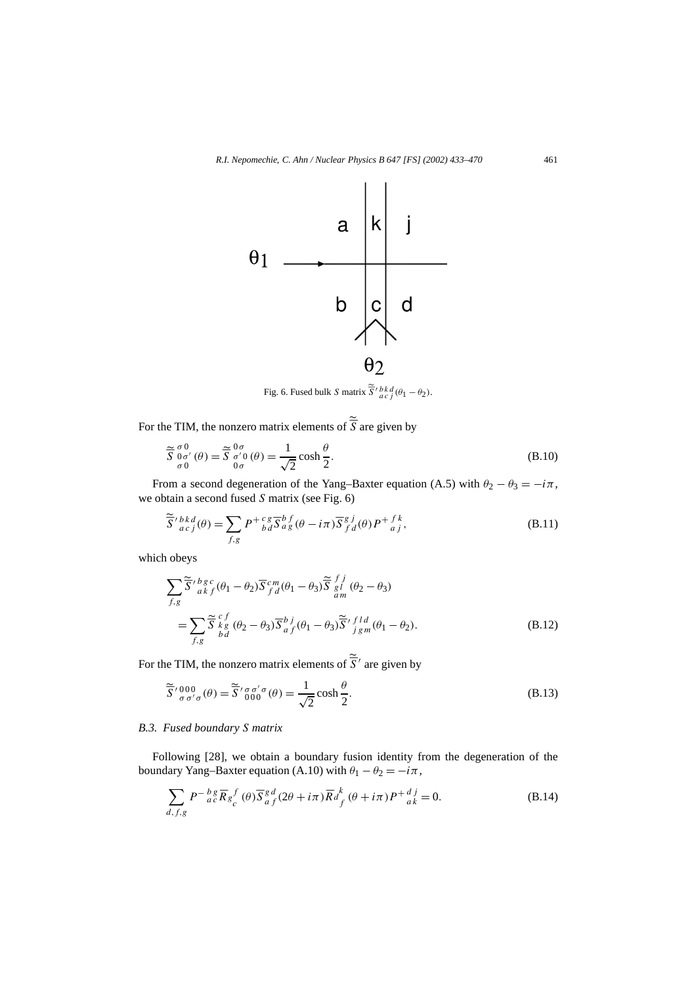

Fig. 6. Fused bulk *S* matrix  $\tilde{S}'_{acj}^{bkd}(\theta_1 - \theta_2)$ .

For the TIM, the nonzero matrix elements of  $\tilde{S}$  are given by

$$
\widetilde{\overline{S}} \, \underset{\sigma}{\sigma^0}^{0} (\theta) = \widetilde{\overline{S}} \, \underset{0 \sigma}{\sigma^0}^{0} (\theta) = \frac{1}{\sqrt{2}} \cosh \frac{\theta}{2}.
$$
\n(B.10)

From a second degeneration of the Yang–Baxter equation (A.5) with  $\theta_2 - \theta_3 = -i\pi$ , we obtain a second fused *S* matrix (see Fig. 6)

$$
\widetilde{\overline{S}}'{}_{ac}^{bkd}(\theta) = \sum_{f,g} P^+{}_{bd}^{c} \overline{S}{}_{ag}^{b}(\theta - i\pi) \overline{S}{}_{fd}^{g}(\theta) P^+{}_{aj}^{f},
$$
\n(B.11)

which obeys

$$
\sum_{f,g} \tilde{\overline{S}}' \, \frac{b g c}{a k f} (\theta_1 - \theta_2) \overline{S} \, \frac{c m}{f d} (\theta_1 - \theta_3) \tilde{\overline{S}} \, \frac{f j}{g l} (\theta_2 - \theta_3)
$$
\n
$$
= \sum_{f,g} \tilde{\overline{S}} \, \frac{c f}{k g} (\theta_2 - \theta_3) \overline{S} \, \frac{b j}{a f} (\theta_1 - \theta_3) \tilde{\overline{S}}' \, \frac{f l d}{j g m} (\theta_1 - \theta_2). \tag{B.12}
$$

For the TIM, the nonzero matrix elements of  $\tilde{S}'$  are given by

$$
\widetilde{\overline{S}}^{\prime}{}_{\sigma\sigma^{\prime}\sigma}^{000}(\theta) = \widetilde{\overline{S}}^{\prime}{}_{000}^{\sigma\sigma^{\prime}\sigma}(\theta) = \frac{1}{\sqrt{2}} \cosh\frac{\theta}{2}.
$$
\n(B.13)

#### *B.3. Fused boundary S matrix*

Following [28], we obtain a boundary fusion identity from the degeneration of the boundary Yang–Baxter equation (A.10) with  $\theta_1 - \theta_2 = -i\pi$ ,

$$
\sum_{d,f,g} P^{-\frac{b}{a}} \overline{R}_{g} f(\theta) \overline{S}_{a}^{g} d(2\theta + i\pi) \overline{R}_{f}^{k} (\theta + i\pi) P^{+}{}_{a}^{j} = 0.
$$
 (B.14)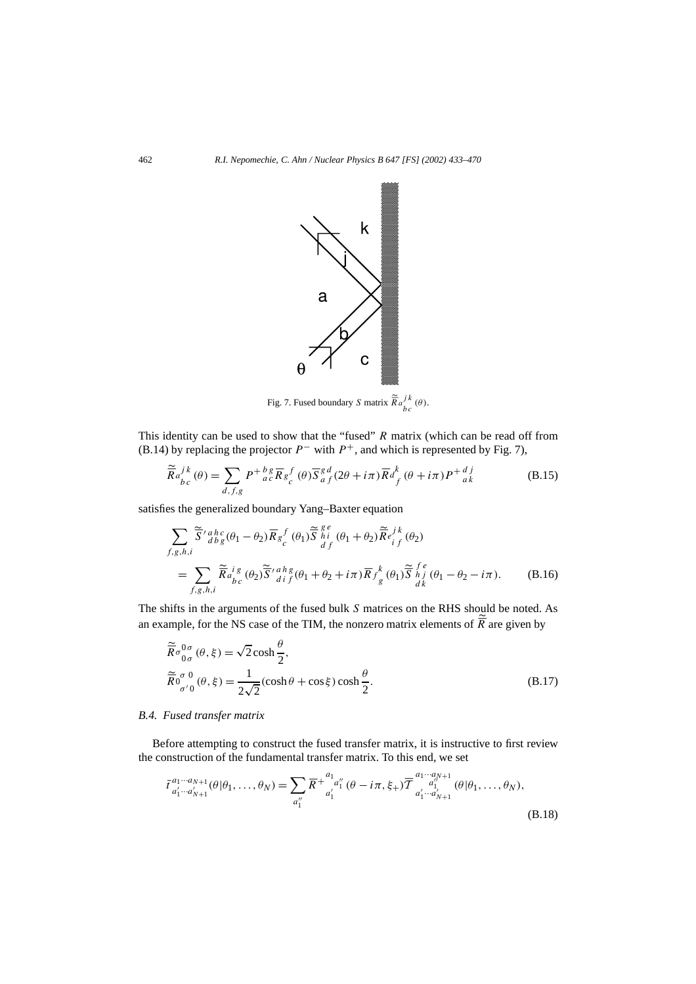

Fig. 7. Fused boundary *S* matrix  $\frac{\widetilde{\mathcal{R}}_a{}^j k}{b c}(\theta)$ .

This identity can be used to show that the "fused" *R* matrix (which can be read off from (B.14) by replacing the projector  $P^-$  with  $P^+$ , and which is represented by Fig. 7),

$$
\widetilde{\overline{R}}a_{bc}^{j\,k}(\theta) = \sum_{d,f,g} P^{+\,b\,g}_{a\,c} \overline{R}_{g}^{f}_{c}(\theta) \overline{S}_{a\,f}^{g\,d}(2\theta + i\pi) \overline{R}a_{f}^{k}(\theta + i\pi) P^{+\,d\,j}_{a\,k} \tag{B.15}
$$

satisfies the generalized boundary Yang–Baxter equation

$$
\sum_{f,g,h,i} \tilde{\overline{S}}'{}_{dbg}^{ahc}(\theta_1 - \theta_2) \overline{R}_{g}{}_{c}^{f}(\theta_1) \tilde{\overline{S}}{}_{h}^{g}{}_{i}^{e}(\theta_1 + \theta_2) \tilde{\overline{R}}_{i}{}_{f}^{j}(\theta_2)
$$
\n
$$
= \sum_{f,g,h,i} \tilde{\overline{R}}{}_{a}{}^{i}{}_{g}^{g}(\theta_2) \tilde{\overline{S}}'{}_{dif}^{a}{}_{i}^{g}(\theta_1 + \theta_2 + i\pi) \overline{R}{}_{f}^{k}(\theta_1) \tilde{\overline{S}}{}_{h}^{f}{}_{j}^{e}(\theta_1 - \theta_2 - i\pi). \tag{B.16}
$$

The shifts in the arguments of the fused bulk *S* matrices on the RHS should be noted. As an example, for the NS case of the TIM, the nonzero matrix elements of  $\tilde{\overline{R}}$  are given by

$$
\widetilde{\overline{R}} \sigma_{0\sigma}^{0\sigma}(\theta, \xi) = \sqrt{2} \cosh \frac{\theta}{2},
$$
\n
$$
\widetilde{\overline{R}} \sigma_{\sigma'0}^{0\sigma}(\theta, \xi) = \frac{1}{2\sqrt{2}} (\cosh \theta + \cos \xi) \cosh \frac{\theta}{2}.
$$
\n(B.17)

### *B.4. Fused transfer matrix*

Before attempting to construct the fused transfer matrix, it is instructive to first review the construction of the fundamental transfer matrix. To this end, we set

$$
\bar{t}^{a_1 \cdots a_{N+1}}_{a'_1 \cdots a'_{N+1}}(\theta | \theta_1, \ldots, \theta_N) = \sum_{a''_1} \overline{R}^{+ \frac{a_1}{a'_1} a''_1} (\theta - i\pi, \xi_+) \overline{T}^{a_1 \cdots a_{N+1}}_{a'_1 \cdots a'_{N+1}}(\theta | \theta_1, \ldots, \theta_N),
$$
\n(B.18)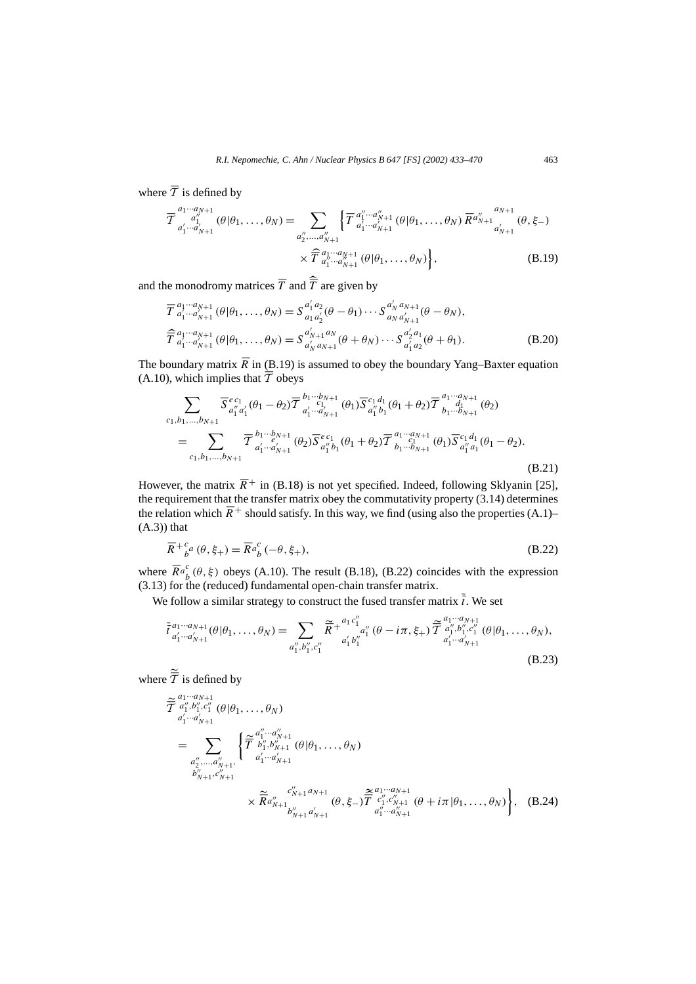where  $\overline{\mathcal{T}}$  is defined by

$$
\overline{\mathcal{T}}^{a_1 \cdots a_{N+1}}_{a'_1 \cdots a'_{N+1}} (\theta | \theta_1, \ldots, \theta_N) = \sum_{\substack{a''_2, \ldots, a''_{N+1} \\ a''_2, \ldots, a''_{N+1}}} \left\{ \overline{\mathcal{T}}^{a''_1 \cdots a''_{N+1}}_{a'_1 \cdots a'_{N+1}} (\theta | \theta_1, \ldots, \theta_N) \, \overline{R}^{a''_{N+1}}_{a'_{N+1}} (\theta, \xi -) \right. \\
 \times \left. \widehat{\mathcal{T}}^{a_1 \cdots a_{N+1}}_{a''_1 \cdots a''_{N+1}} (\theta | \theta_1, \ldots, \theta_N) \right\}, \tag{B.19}
$$

and the monodromy matrices  $\overline{T}$  and  $\overline{\overline{T}}$  are given by

$$
\overline{T}^{a_1 \cdots a_{N+1}}_{a'_1 \cdots a'_{N+1}} (\theta | \theta_1, \dots, \theta_N) = S^{a'_1 a_2}_{a_1 a'_2} (\theta - \theta_1) \cdots S^{a'_N a_{N+1}}_{a_N a'_{N+1}} (\theta - \theta_N),
$$
\n
$$
\widehat{T}^{a_1 \cdots a_{N+1}}_{a'_1 \cdots a'_{N+1}} (\theta | \theta_1, \dots, \theta_N) = S^{a'_{N+1} a_N}_{a'_N a_{N+1}} (\theta + \theta_N) \cdots S^{a'_2 a_1}_{a'_1 a_2} (\theta + \theta_1).
$$
\n(B.20)

The boundary matrix  $\overline{R}$  in (B.19) is assumed to obey the boundary Yang–Baxter equation (A.10), which implies that  $\overline{\overline{T}}$  obeys

$$
\sum_{c_1, b_1, \dots, b_{N+1}} \overline{S}^{ec_1}_{a''_1 a'_1}(\theta_1 - \theta_2) \overline{T}^{b_1 \cdots b_{N+1}}_{a'_1 \cdots a'_{N+1}}(\theta_1) \overline{S}^{c_1 d_1}_{a''_1 b_1}(\theta_1 + \theta_2) \overline{T}^{a_1 \cdots a_{N+1}}_{b_1 \cdots b_{N+1}}(\theta_2)
$$
\n
$$
= \sum_{c_1, b_1, \dots, b_{N+1}} \overline{T}^{b_1 \cdots b_{N+1}}_{a'_1 \cdots a'_{N+1}}(\theta_2) \overline{S}^{ec_1}_{a''_1 b_1}(\theta_1 + \theta_2) \overline{T}^{a_1 \cdots a_{N+1}}_{b_1 \cdots b_{N+1}}(\theta_1) \overline{S}^{c_1 d_1}_{a''_1 a_1}(\theta_1 - \theta_2). \tag{B.21}
$$

However, the matrix  $\overline{R}$ <sup>+</sup> in (B.18) is not yet specified. Indeed, following Sklyanin [25], the requirement that the transfer matrix obey the commutativity property  $(3.14)$  determines the relation which  $\overline{R}$ <sup>+</sup> should satisfy. In this way, we find (using also the properties (A.1)–  $(A.3)$ ) that

$$
\overline{R}^{+c}_{\ b}a\left(\theta,\xi_{+}\right) = \overline{R}^{a}{}_{b}^{c}\left(-\theta,\xi_{+}\right),\tag{B.22}
$$

where  $\overline{R}a_b^c(\theta, \xi)$  obeys (A.10). The result (B.18), (B.22) coincides with the expression (3.13) for the (reduced) fundamental open-chain transfer matrix.

We follow a similar strategy to construct the fused transfer matrix  $\tilde{\vec{t}}$ . We set

$$
\tilde{\tau}_{a'_1 \cdots a'_{N+1}}^{a_1 \cdots a_{N+1}}(\theta | \theta_1, \ldots, \theta_N) = \sum_{a''_1, b''_1, c''_1} \tilde{\overline{R}}^{+ \frac{a_1 c''_1}{a'_1 a''_1}} a''_1 (\theta - i\pi, \xi_+) \tilde{\overline{T}}_{a''_1, b''_1, c''_1} \tilde{\tau}_{a'_1 \cdots a'_{N+1}}^{a_1 \cdots a_{N+1}}(\theta | \theta_1, \ldots, \theta_N),
$$
\n(B.23)

where  $\overline{\overline{T}}$  is defined by

$$
\widetilde{\mathcal{T}} \, \frac{a_1 \cdots a_{N+1}}{a_1^{\prime \prime} \cdots a_{N+1}^{\prime \prime}} \, (\theta | \theta_1, \ldots, \theta_N) \n= \sum_{\substack{a_2^{\prime \prime} \ldots, a_{N+1}^{\prime \prime} \\ b_{N+1}^{\prime \prime}, c_{N+1}^{\prime \prime}}} \left\{ \widetilde{\mathcal{T}} \, \frac{a_1^{\prime \prime} \cdots a_{N+1}^{\prime \prime}}{a_1^{\prime \prime} \cdots a_{N+1}^{\prime \prime}} \, (\theta | \theta_1, \ldots, \theta_N) \n\qquad \qquad \times \widetilde{\mathcal{R}} \, a_{N+1}^{\prime \prime} \cdots a_{N+1}^{\prime \prime}} \, (\theta, \xi) \widetilde{\mathcal{T}} \, \frac{a_1^{\prime \prime \prime} \cdots a_{N+1}^{\prime \prime}}{a_1^{\prime \prime \prime} \cdots a_{N+1}^{\prime \prime}} \, (\theta, \xi) \widetilde{\mathcal{T}} \, \frac{a_1^{\prime \prime \prime} \cdots a_{N+1}^{\prime \prime \prime}}{a_1^{\prime \prime \prime} \cdots a_{N+1}^{\prime \prime}} \, (\theta + i \pi | \theta_1, \ldots, \theta_N) \right\}, \quad (B.24)
$$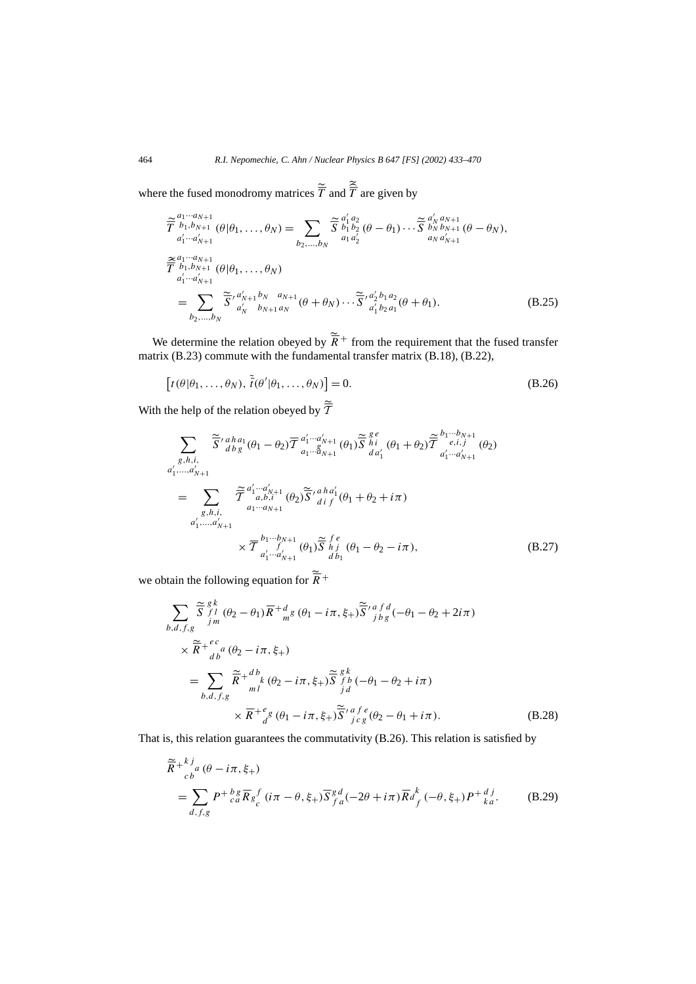where the fused monodromy matrices  $\overline{T}$  and  $\overline{T}$  are given by

$$
\widetilde{\overline{T}}^{a_1 \cdots a_{N+1}}_{b_1, b_{N+1}} (\theta | \theta_1, \dots, \theta_N) = \sum_{b_2, \dots, b_N} \widetilde{\overline{S}}^{a'_1 a_2}_{b_1 b_2} (\theta - \theta_1) \cdots \widetilde{\overline{S}}^{a'_N a_{N+1}}_{b_N b_{N+1}} (\theta - \theta_N),
$$
\n
$$
\widetilde{\overline{T}}^{a_1 \cdots a'_{N+1}}_{b_1, b_{N+1}} (\theta | \theta_1, \dots, \theta_N)
$$
\n
$$
\widetilde{\overline{T}}^{a_1 \cdots a'_{N+1}}_{a'_1 \cdots a'_{N+1}}
$$
\n
$$
= \sum_{b_2, \dots, b_N} \widetilde{\overline{S}}^{a'_N a'_{N+1} b_N a_{N+1}}_{b_{N+1} a_N} (\theta + \theta_N) \cdots \widetilde{\overline{S}}^{a'_2 b_1 a_2}_{a'_1 b_2 a_1} (\theta + \theta_1).
$$
\n(B.25)

We determine the relation obeyed by  $\overline{R}$ <sup>+</sup> from the requirement that the fused transfer matrix (B.23) commute with the fundamental transfer matrix (B.18), (B.22),

$$
[t(\theta|\theta_1,\ldots,\theta_N),\,\tilde{\bar{t}}(\theta'|\theta_1,\ldots,\theta_N)]=0.
$$
 (B.26)

With the help of the relation obeyed by  $\overline{\overline{T}}$ 

$$
\sum_{\substack{g,h,i,\\ \alpha'_1,\dots,\alpha'_{N+1}}} \tilde{S}'^{aha_1}_{dbg}(\theta_1 - \theta_2) \overline{T}^{a'_1 \cdots a'_{N+1}}_{a_1 \cdots a_{N+1}}(\theta_1) \tilde{S}^{ge}_{hi}(\theta_1 + \theta_2) \tilde{T}^{b_1 \cdots b_{N+1}}_{a'_1 \cdots a'_{N+1}}(\theta_2)
$$
\n
$$
a'_1, \dots, a'_{N+1}
$$
\n
$$
= \sum_{\substack{g,h,i,\\ \alpha'_1,\dots,\alpha'_{N+1}}} \tilde{T}^{a'_1 \cdots a'_{N+1}}_{a_1 \cdots a_{N+1}}(\theta_2) \tilde{S}'^{aha'_1}_{dif}(\theta_1 + \theta_2 + i\pi)
$$
\n
$$
\times \overline{T}^{b_1 \cdots b_{N+1}}_{a'_1 \cdots a'_{N+1}}(\theta_1) \tilde{S}^{fe}_{hi}(\theta_1 - \theta_2 - i\pi), \qquad (B.27)
$$

we obtain the following equation for  $\overline{R}$ <sup>+</sup>

$$
\sum_{b,d,f,g} \tilde{\overline{S}}_{\substack{f|d\\j}}^{g|k} (\theta_2 - \theta_1) \overline{R} + \frac{d}{m} g (\theta_1 - i\pi, \xi_+) \tilde{\overline{S}}'_{\substack{j\\j}}^{a} f^d (\theta_1 - \theta_2 + 2i\pi)
$$
\n
$$
\times \tilde{\overline{R}} + \frac{ec}{db} (\theta_2 - i\pi, \xi_+)
$$
\n
$$
= \sum_{b,d,f,g} \tilde{\overline{R}} + \frac{db}{ml} k (\theta_2 - i\pi, \xi_+) \tilde{\overline{S}}_{\substack{j\\j\\d}}^{gk} (\theta_1 - \theta_2 + i\pi)
$$
\n
$$
\times \overline{R} + \frac{e}{d} g (\theta_1 - i\pi, \xi_+) \tilde{\overline{S}}'_{\substack{j\\j\\c}}^{a} f^e (\theta_2 - \theta_1 + i\pi).
$$
\n(B.28)

That is, this relation guarantees the commutativity (B.26). This relation is satisfied by

$$
\widetilde{\overline{R}} + {}_{c}^{k}{}_{a}^{j} (\theta - i\pi, \xi_{+})
$$
\n
$$
= \sum_{d,f,g} P + {}_{c}^{k}{}_{d} \overline{R}_{g} f (i\pi - \theta, \xi_{+}) \overline{S}_{f}^{g}{}_{d}^{d} (-2\theta + i\pi) \overline{R}_{f}^{k}{}_{f}^{k} (-\theta, \xi_{+}) P + {}_{ka}^{d}{}_{i}.
$$
\n(B.29)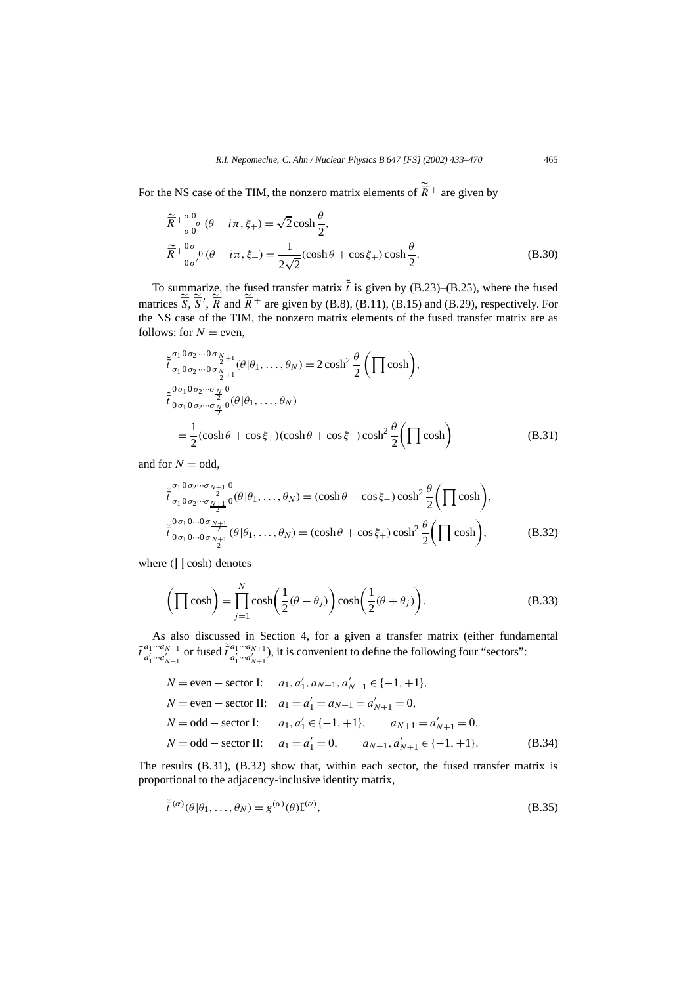For the NS case of the TIM, the nonzero matrix elements of  $\tilde{\overline{R}}$ <sup>+</sup> are given by

$$
\widetilde{\overline{R}} + \frac{\sigma_0}{\sigma_0} \sigma (\theta - i\pi, \xi_+) = \sqrt{2} \cosh \frac{\theta}{2},
$$
\n
$$
\widetilde{\overline{R}} + \frac{0 \sigma_0}{0 \sigma'} (\theta - i\pi, \xi_+) = \frac{1}{2\sqrt{2}} (\cosh \theta + \cos \xi_+) \cosh \frac{\theta}{2}.
$$
\n(B.30)

To summarize, the fused transfer matrix  $\tilde{t}$  is given by (B.23)–(B.25), where the fused matrices  $\overline{S}$ ,  $\overline{S}'$ ,  $\overline{R}$  and  $\overline{R}$ <sup>+</sup> are given by (B.8), (B.11), (B.15) and (B.29), respectively. For the NS case of the TIM, the nonzero matrix elements of the fused transfer matrix are as follows: for  $N =$  even,

$$
\tilde{t}_{\sigma_1 0 \sigma_2 \cdots 0 \sigma_{\frac{N}{2}+1}}^{\sigma_1 0 \sigma_2 \cdots 0 \sigma_{\frac{N}{2}+1}}(\theta | \theta_1, \dots, \theta_N) = 2 \cosh^2 \frac{\theta}{2} \left( \prod \cosh \right),
$$
\n
$$
\tilde{t}_{0 \sigma_1 0 \sigma_2 \cdots \sigma_{\frac{N}{2}} 0}^{\sigma_1 0 \sigma_2 \cdots \sigma_{\frac{N}{2}} 0}(\theta | \theta_1, \dots, \theta_N)
$$
\n
$$
= \frac{1}{2} (\cosh \theta + \cos \xi_+)(\cosh \theta + \cos \xi_-) \cosh^2 \frac{\theta}{2} \left( \prod \cosh \right) \tag{B.31}
$$

and for  $N =$  odd,

$$
\tilde{t}_{\sigma_1 0 \sigma_2 \cdots \sigma_{\frac{N+1}{2}}}^{\sigma_1 0 \sigma_2 \cdots \sigma_{\frac{N+1}{2}}} 0^{(\theta|\theta_1, \dots, \theta_N)} = (\cosh \theta + \cos \xi - \cosh^2 \frac{\theta}{2} \left( \prod \cosh \right),
$$
\n
$$
\tilde{t}_{0 \sigma_1 0 \cdots 0 \sigma_{\frac{N+1}{2}}}^{\sigma_1 0 \cdots 0 \sigma_{\frac{N+1}{2}}} (\theta|\theta_1, \dots, \theta_N) = (\cosh \theta + \cos \xi + \cosh^2 \frac{\theta}{2} \left( \prod \cosh \right),
$$
\n(B.32)

where  $(\prod \cosh)$  denotes

$$
\left(\prod \cosh\right) = \prod_{j=1}^{N} \cosh\left(\frac{1}{2}(\theta - \theta_j)\right) \cosh\left(\frac{1}{2}(\theta + \theta_j)\right).
$$
 (B.33)

As also discussed in Section 4, for a given a transfer matrix (either fundamental  $\bar{t}^{a_1\cdots a_{N+1}}_{a' a''}$  $a_1 \cdots a_{N+1}$  or fused  $\tilde{t}^{a_1 \cdots a_{N+1}}_{a'_1 \cdots a'_{N+1}}$  $a_1^{(1)} \cdots a_{N+1}^{(N+1)}$ , it is convenient to define the following four "sectors":

$$
N = \text{even} - \text{sector I:} \quad a_1, a'_1, a_{N+1}, a'_{N+1} \in \{-1, +1\},
$$
\n
$$
N = \text{even} - \text{sector II:} \quad a_1 = a'_1 = a_{N+1} = a'_{N+1} = 0,
$$
\n
$$
N = \text{odd} - \text{sector I:} \quad a_1, a'_1 \in \{-1, +1\}, \quad a_{N+1} = a'_{N+1} = 0,
$$
\n
$$
N = \text{odd} - \text{sector II:} \quad a_1 = a'_1 = 0, \quad a_{N+1}, a'_{N+1} \in \{-1, +1\}.
$$
\n(B.34)

The results (B.31), (B.32) show that, within each sector, the fused transfer matrix is proportional to the adjacency-inclusive identity matrix,

$$
\tilde{\bar{t}}^{(\alpha)}(\theta|\theta_1,\ldots,\theta_N) = g^{(\alpha)}(\theta)\mathbb{I}^{(\alpha)},\tag{B.35}
$$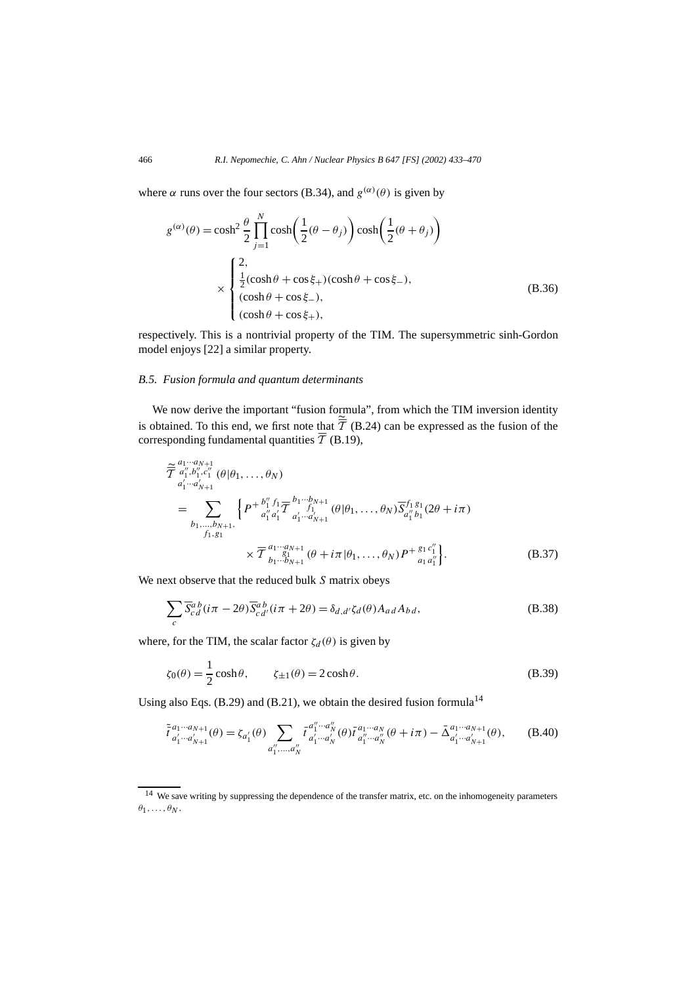where  $\alpha$  runs over the four sectors (B.34), and  $g^{(\alpha)}(\theta)$  is given by

$$
g^{(\alpha)}(\theta) = \cosh^2 \frac{\theta}{2} \prod_{j=1}^N \cosh\left(\frac{1}{2}(\theta - \theta_j)\right) \cosh\left(\frac{1}{2}(\theta + \theta_j)\right)
$$
  

$$
\times \begin{cases} 2, \\ \frac{1}{2}(\cosh \theta + \cos \xi_+) (\cosh \theta + \cos \xi_-), \\ (\cosh \theta + \cos \xi_-), \\ (\cosh \theta + \cos \xi_+), \end{cases}
$$
(B.36)

respectively. This is a nontrivial property of the TIM. The supersymmetric sinh-Gordon model enjoys [22] a similar property.

#### *B.5. Fusion formula and quantum determinants*

We now derive the important "fusion formula", from which the TIM inversion identity is obtained. To this end, we first note that  $\overline{T}$  (B.24) can be expressed as the fusion of the corresponding fundamental quantities  $\overline{\mathcal{T}}$  (B.19),

$$
\widetilde{\overline{T}}^{a_1 \cdots a_{N+1}}_{a'_1 \cdots a'_{N+1}} (\theta | \theta_1, \ldots, \theta_N)
$$
\n
$$
= \sum_{b_1, \ldots, b_{N+1}, \atop f_1, g_1} \left\{ P^{+ \frac{b''_1 f_1}{a''_1 a'_1} \frac{b_1 \cdots b_{N+1}}{a'_1 \cdots a'_{N+1}}} (\theta | \theta_1, \ldots, \theta_N) \overline{S}^{f_1 g_1}_{a''_1 b_1} (2\theta + i\pi) \right. \\
\times \overline{T}^{a_1 \cdots a_{N+1}}_{b_1 \cdots b_{N+1}} (\theta + i\pi | \theta_1, \ldots, \theta_N) P^{+ \frac{g_1 c''_1}{a_1 a''_1}}.
$$
\n(B.37)

We next observe that the reduced bulk *S* matrix obeys

$$
\sum_{c} \overline{S}_{c\,d}^{a\,b} (i\pi - 2\theta) \overline{S}_{c\,d'}^{a\,b} (i\pi + 2\theta) = \delta_{d,d'} \zeta_d(\theta) A_{a\,d} A_{b\,d},\tag{B.38}
$$

where, for the TIM, the scalar factor  $\zeta_d(\theta)$  is given by

$$
\zeta_0(\theta) = \frac{1}{2}\cosh\theta, \qquad \zeta_{\pm 1}(\theta) = 2\cosh\theta. \tag{B.39}
$$

Using also Eqs. (B.29) and (B.21), we obtain the desired fusion formula<sup>14</sup>

$$
\tilde{\tau}_{a'_1 \cdots a'_{N+1}}^{a_1 \cdots a_{N+1}}(\theta) = \zeta_{a'_1}(\theta) \sum_{a''_1, \dots, a''_N} \tilde{\tau}_{a'_1 \cdots a'_N}^{a''_1 \cdots a''_N}(\theta) \tilde{\tau}_{a''_1 \cdots a''_N}^{a_1 \cdots a_N}(\theta + i\pi) - \tilde{\Delta}_{a'_1 \cdots a'_{N+1}}^{a_1 \cdots a_{N+1}}(\theta), \tag{B.40}
$$

<sup>&</sup>lt;sup>14</sup> We save writing by suppressing the dependence of the transfer matrix, etc. on the inhomogeneity parameters  $\theta_1, \ldots, \theta_N$ .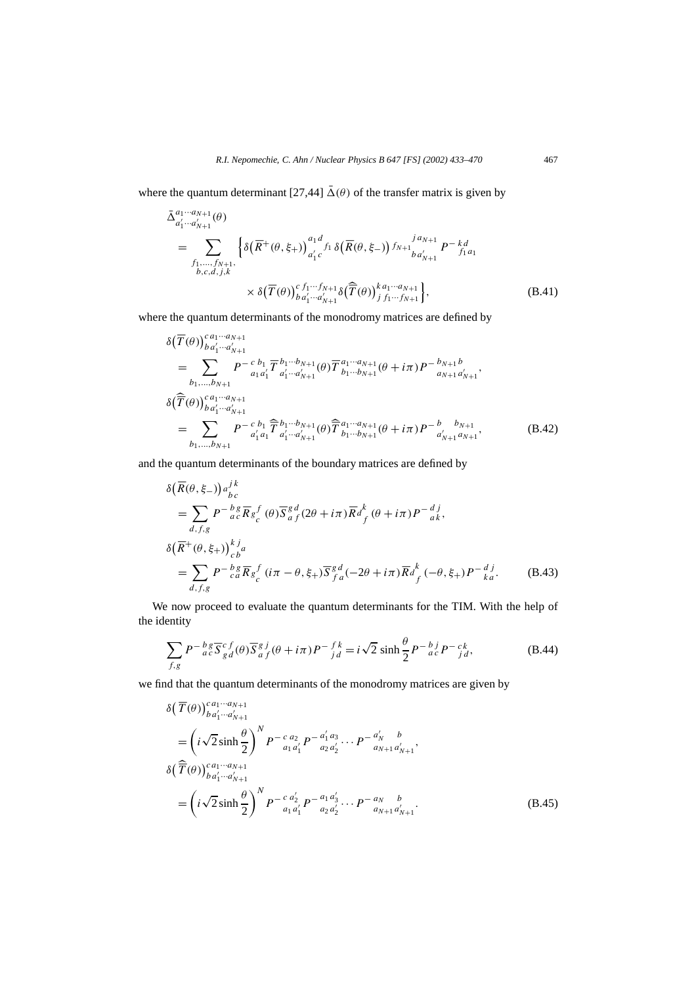where the quantum determinant  $[27,44]$   $\overline{\Delta}(\theta)$  of the transfer matrix is given by

$$
\bar{\Delta}_{a'_{1} \cdots a'_{N+1}}^{a_{1} \cdots a_{N+1}}(\theta)
$$
\n
$$
= \sum_{\substack{f_{1}, \ldots, f_{N+1}, \\ b,c,d,j,k}} \left\{ \delta\big(\overline{R}^{+}(\theta, \xi_{+})\big)_{a'_{1}c}^{a_{1}d} f_{1} \delta\big(\overline{R}(\theta, \xi_{-})\big) f_{N+1} \big|_{b a'_{N+1}}^{j a_{N+1}} P^{-k d}_{j a_{1}}
$$
\n
$$
\times \delta\big(\overline{T}(\theta)\big)_{b a'_{1} \cdots a'_{N+1}}^{c} \delta\big(\overline{T}(\theta)\big)_{j f_{1} \cdots f_{N+1}}^{k a_{1} \cdots a_{N+1}} \right\},
$$
\n(B.41)

where the quantum determinants of the monodromy matrices are defined by

$$
\delta(\overline{T}(\theta))_{b a'_{1} \cdots a'_{N+1}}^{c a_{1} \cdots a_{N+1}}
$$
\n
$$
= \sum_{b_{1},...,b_{N+1}} P^{-c b_{1}} \overline{T}^{b_{1} \cdots b_{N+1}}_{a_{1} a'_{1}}(\theta) \overline{T}^{a_{1} \cdots a_{N+1}}_{b_{1} \cdots b_{N+1}}(\theta + i\pi) P^{-b_{N+1} b}_{a_{N+1} a'_{N+1}},
$$
\n
$$
\delta(\overline{\overline{T}}(\theta))_{b a'_{1} \cdots a'_{N+1}}^{c a_{1} \cdots a_{N+1}}
$$
\n
$$
= \sum_{b_{1},...,b_{N+1}} P^{-c b_{1}} \overline{\overline{T}}^{b_{1} \cdots b_{N+1}}_{a'_{1} a_{1}^{T} a'_{1} \cdots a'_{N+1}}(\theta) \overline{\overline{T}}^{a_{1} \cdots a_{N+1}}_{b_{1} \cdots b_{N+1}}(\theta + i\pi) P^{-b} \overline{a'_{N+1}}_{a'_{N+1} a_{N+1}},
$$
\n(B.42)

and the quantum determinants of the boundary matrices are defined by

$$
\delta(\overline{R}(\theta, \xi_{-})) a_{bc}^{j k}
$$
\n
$$
= \sum_{d,f,g} P^{-b} g \overline{R}_{g} f(\theta) \overline{S}_{af}^{g d} (2\theta + i\pi) \overline{R}_{f}^{k} (\theta + i\pi) P^{-d} j_{ak},
$$
\n
$$
\delta(\overline{R}^{+}(\theta, \xi_{+}))_{cb}^{k j_{a}}
$$
\n
$$
= \sum_{d,f,g} P^{-b} g \overline{R}_{g} f(i\pi - \theta, \xi_{+}) \overline{S}_{fa}^{g d} (-2\theta + i\pi) \overline{R}_{f}^{k} (-\theta, \xi_{+}) P^{-d} j_{ka}.
$$
\n(B.43)

We now proceed to evaluate the quantum determinants for the TIM. With the help of the identity

$$
\sum_{f,g} P^{-b}{}_{ac}^{g} \overline{S}^{c}{}_{g}^{f}(\theta) \overline{S}^{g}{}_{af}^{j}(\theta + i\pi) P^{-f}{}_{jd}^{k} = i\sqrt{2} \sinh \frac{\theta}{2} P^{-b}{}_{ac}^{j} P^{-c}{}_{jd}^{k},
$$
 (B.44)

we find that the quantum determinants of the monodromy matrices are given by

$$
\delta(\overline{T}(\theta))_{b\,a'_1\cdots a'_{N+1}}^{c\,a_1\cdots a_{N+1}} \n= \left(i\sqrt{2}\sinh\frac{\theta}{2}\right)^N P^{-c\,a_2}_{a_1\,a'_1} P^{-a'_1\,a_3}_{a_2\,a'_2} \cdots P^{-a'_N}_{a_{N+1}\,a'_{N+1}}, \n\delta(\widehat{\overline{T}}(\theta))_{b\,a'_1\cdots a'_{N+1}}^{c\,a_1\cdots a_{N+1}} \n= \left(i\sqrt{2}\sinh\frac{\theta}{2}\right)^N P^{-c\,a'_2}_{a_1\,a'_1} P^{-a_1\,a'_3}_{a_2\,a'_2} \cdots P^{-a_N}_{a_{N+1}\,a'_{N+1}}.
$$
\n(B.45)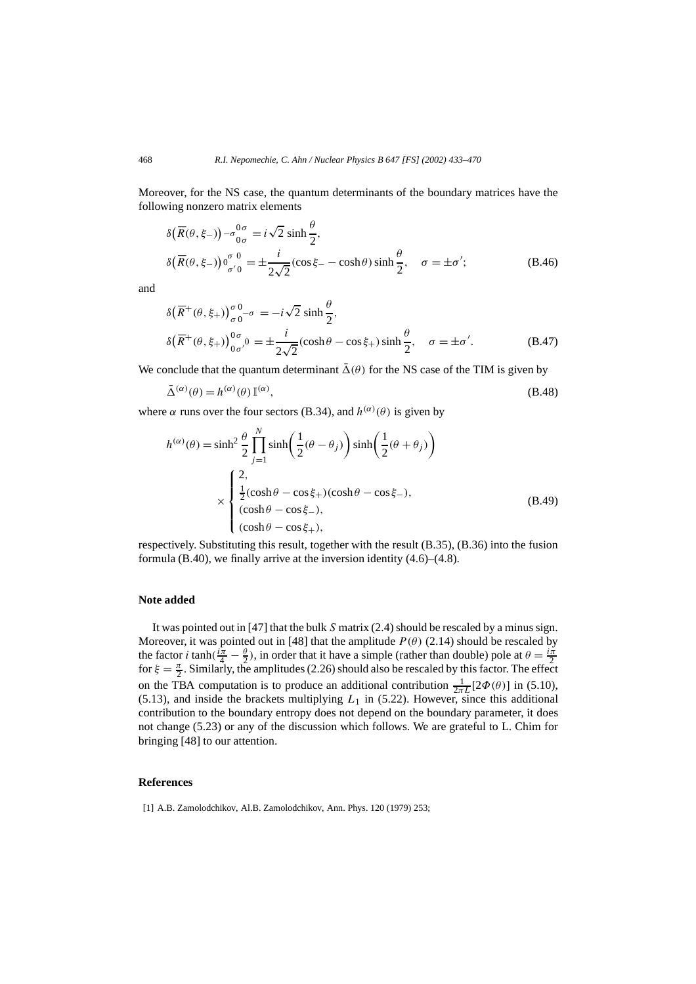Moreover, for the NS case, the quantum determinants of the boundary matrices have the following nonzero matrix elements

$$
\delta(\overline{R}(\theta,\xi_{-})) - \sigma_{0\sigma}^{0\sigma} = i\sqrt{2} \sinh \frac{\theta}{2},
$$
  
\n
$$
\delta(\overline{R}(\theta,\xi_{-}))\sigma_{\sigma'0}^{\sigma=0} = \pm \frac{i}{2\sqrt{2}}(\cos \xi_{-} - \cosh \theta) \sinh \frac{\theta}{2}, \quad \sigma = \pm \sigma';
$$
\n(B.46)

and

$$
\delta\left(\overline{R}^+(\theta,\xi_+)\right)_{\sigma 0}^{\sigma 0-\sigma} = -i\sqrt{2}\sinh\frac{\theta}{2},
$$
  
\n
$$
\delta\left(\overline{R}^+(\theta,\xi_+)\right)_{0\sigma/0}^{0\sigma} = \pm\frac{i}{2\sqrt{2}}(\cosh\theta - \cos\xi_+)\sinh\frac{\theta}{2}, \quad \sigma = \pm\sigma'. \tag{B.47}
$$

We conclude that the quantum determinant  $\bar{\Delta}(\theta)$  for the NS case of the TIM is given by

$$
\bar{\Delta}^{(\alpha)}(\theta) = h^{(\alpha)}(\theta) \, \mathbb{I}^{(\alpha)},\tag{B.48}
$$

where  $\alpha$  runs over the four sectors (B.34), and  $h^{(\alpha)}(\theta)$  is given by

$$
h^{(\alpha)}(\theta) = \sinh^2 \frac{\theta}{2} \prod_{j=1}^N \sinh\left(\frac{1}{2}(\theta - \theta_j)\right) \sinh\left(\frac{1}{2}(\theta + \theta_j)\right)
$$
  

$$
\times \begin{cases} 2, \\ \frac{1}{2}(\cosh \theta - \cos \xi_+) (\cosh \theta - \cos \xi_-), \\ (\cosh \theta - \cos \xi_-), \\ (\cosh \theta - \cos \xi_+), \end{cases}
$$
(B.49)

respectively. Substituting this result, together with the result (B.35), (B.36) into the fusion formula (B.40), we finally arrive at the inversion identity (4.6)–(4.8).

#### **Note added**

It was pointed out in [47] that the bulk *S* matrix (2.4) should be rescaled by a minus sign. Moreover, it was pointed out in [48] that the amplitude  $P(\theta)$  (2.14) should be rescaled by the factor *i* tanh $(\frac{i\pi}{4} - \frac{\theta}{2})$ , in order that it have a simple (rather than double) pole at  $\theta = \frac{i\pi}{2}$ for  $\xi = \frac{\pi}{2}$ . Similarly, the amplitudes (2.26) should also be rescaled by this factor. The effect on the TBA computation is to produce an additional contribution  $\frac{1}{2\pi L}[2\Phi(\theta)]$  in (5.10),  $(5.13)$ , and inside the brackets multiplying  $L_1$  in  $(5.22)$ . However, since this additional contribution to the boundary entropy does not depend on the boundary parameter, it does not change (5.23) or any of the discussion which follows. We are grateful to L. Chim for bringing [48] to our attention.

#### **References**

[1] A.B. Zamolodchikov, Al.B. Zamolodchikov, Ann. Phys. 120 (1979) 253;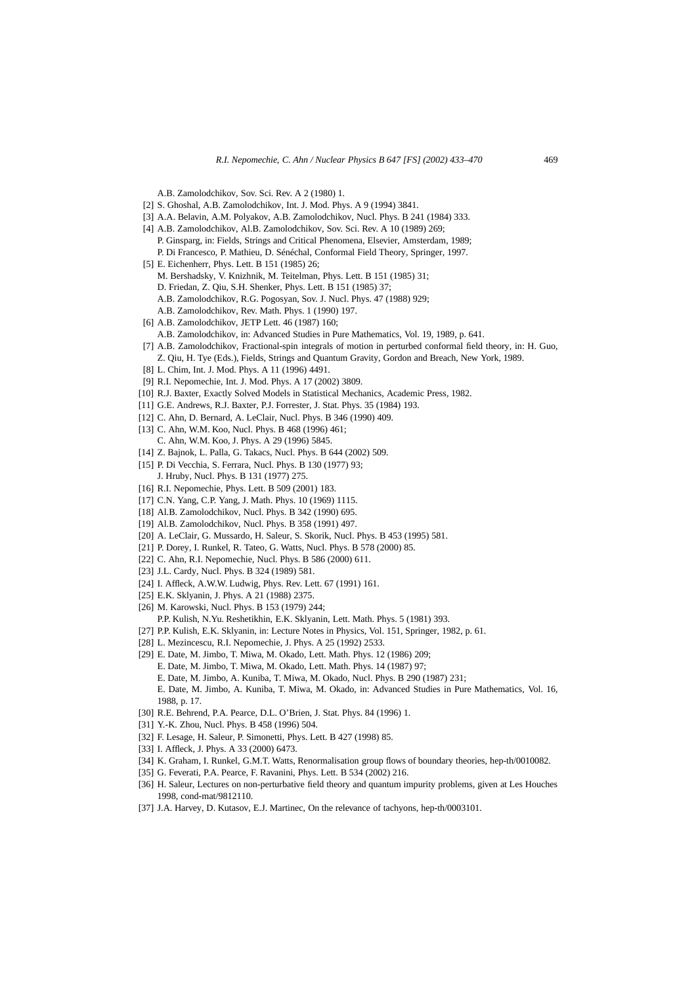A.B. Zamolodchikov, Sov. Sci. Rev. A 2 (1980) 1.

- [2] S. Ghoshal, A.B. Zamolodchikov, Int. J. Mod. Phys. A 9 (1994) 3841.
- [3] A.A. Belavin, A.M. Polyakov, A.B. Zamolodchikov, Nucl. Phys. B 241 (1984) 333.
- [4] A.B. Zamolodchikov, Al.B. Zamolodchikov, Sov. Sci. Rev. A 10 (1989) 269; P. Ginsparg, in: Fields, Strings and Critical Phenomena, Elsevier, Amsterdam, 1989; P. Di Francesco, P. Mathieu, D. Sénéchal, Conformal Field Theory, Springer, 1997.
- [5] E. Eichenherr, Phys. Lett. B 151 (1985) 26;
	- M. Bershadsky, V. Knizhnik, M. Teitelman, Phys. Lett. B 151 (1985) 31;
	- D. Friedan, Z. Qiu, S.H. Shenker, Phys. Lett. B 151 (1985) 37;
	- A.B. Zamolodchikov, R.G. Pogosyan, Sov. J. Nucl. Phys. 47 (1988) 929;
	- A.B. Zamolodchikov, Rev. Math. Phys. 1 (1990) 197.
- [6] A.B. Zamolodchikov, JETP Lett. 46 (1987) 160;
	- A.B. Zamolodchikov, in: Advanced Studies in Pure Mathematics, Vol. 19, 1989, p. 641.
- [7] A.B. Zamolodchikov, Fractional-spin integrals of motion in perturbed conformal field theory, in: H. Guo, Z. Qiu, H. Tye (Eds.), Fields, Strings and Quantum Gravity, Gordon and Breach, New York, 1989.
- [8] L. Chim, Int. J. Mod. Phys. A 11 (1996) 4491.
- [9] R.I. Nepomechie, Int. J. Mod. Phys. A 17 (2002) 3809.
- [10] R.J. Baxter, Exactly Solved Models in Statistical Mechanics, Academic Press, 1982.
- [11] G.E. Andrews, R.J. Baxter, P.J. Forrester, J. Stat. Phys. 35 (1984) 193.
- [12] C. Ahn, D. Bernard, A. LeClair, Nucl. Phys. B 346 (1990) 409.
- [13] C. Ahn, W.M. Koo, Nucl. Phys. B 468 (1996) 461; C. Ahn, W.M. Koo, J. Phys. A 29 (1996) 5845.
- [14] Z. Bajnok, L. Palla, G. Takacs, Nucl. Phys. B 644 (2002) 509.
- [15] P. Di Vecchia, S. Ferrara, Nucl. Phys. B 130 (1977) 93; J. Hruby, Nucl. Phys. B 131 (1977) 275.
- [16] R.I. Nepomechie, Phys. Lett. B 509 (2001) 183.
- [17] C.N. Yang, C.P. Yang, J. Math. Phys. 10 (1969) 1115.
- [18] Al.B. Zamolodchikov, Nucl. Phys. B 342 (1990) 695.
- [19] Al.B. Zamolodchikov, Nucl. Phys. B 358 (1991) 497.
- [20] A. LeClair, G. Mussardo, H. Saleur, S. Skorik, Nucl. Phys. B 453 (1995) 581.
- [21] P. Dorey, I. Runkel, R. Tateo, G. Watts, Nucl. Phys. B 578 (2000) 85.
- [22] C. Ahn, R.I. Nepomechie, Nucl. Phys. B 586 (2000) 611.
- [23] J.L. Cardy, Nucl. Phys. B 324 (1989) 581.
- [24] I. Affleck, A.W.W. Ludwig, Phys. Rev. Lett. 67 (1991) 161.
- [25] E.K. Sklyanin, J. Phys. A 21 (1988) 2375.
- [26] M. Karowski, Nucl. Phys. B 153 (1979) 244; P.P. Kulish, N.Yu. Reshetikhin, E.K. Sklyanin, Lett. Math. Phys. 5 (1981) 393.
- [27] P.P. Kulish, E.K. Sklyanin, in: Lecture Notes in Physics, Vol. 151, Springer, 1982, p. 61.
- [28] L. Mezincescu, R.I. Nepomechie, J. Phys. A 25 (1992) 2533.
- [29] E. Date, M. Jimbo, T. Miwa, M. Okado, Lett. Math. Phys. 12 (1986) 209; E. Date, M. Jimbo, T. Miwa, M. Okado, Lett. Math. Phys. 14 (1987) 97; E. Date, M. Jimbo, A. Kuniba, T. Miwa, M. Okado, Nucl. Phys. B 290 (1987) 231; E. Date, M. Jimbo, A. Kuniba, T. Miwa, M. Okado, in: Advanced Studies in Pure Mathematics, Vol. 16, 1988, p. 17.
- [30] R.E. Behrend, P.A. Pearce, D.L. O'Brien, J. Stat. Phys. 84 (1996) 1.
- [31] Y.-K. Zhou, Nucl. Phys. B 458 (1996) 504.
- [32] F. Lesage, H. Saleur, P. Simonetti, Phys. Lett. B 427 (1998) 85.
- [33] I. Affleck, J. Phys. A 33 (2000) 6473.
- [34] K. Graham, I. Runkel, G.M.T. Watts, Renormalisation group flows of boundary theories, hep-th/0010082.
- [35] G. Feverati, P.A. Pearce, F. Ravanini, Phys. Lett. B 534 (2002) 216.
- [36] H. Saleur, Lectures on non-perturbative field theory and quantum impurity problems, given at Les Houches 1998, cond-mat/9812110.
- [37] J.A. Harvey, D. Kutasov, E.J. Martinec, On the relevance of tachyons, hep-th/0003101.